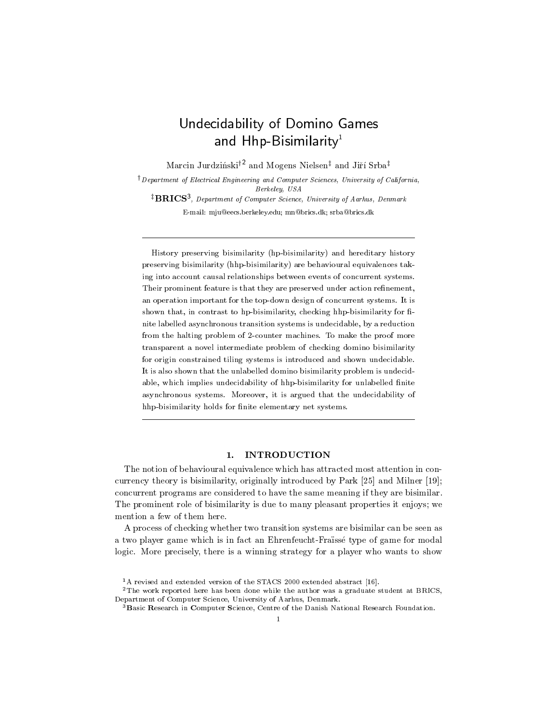# Undecidability of Domino Games and Hhp-Bisimilarity<sup>1</sup>

Marcin Jurdziński<sup>†2</sup> and Mogens Nielsen<sup>‡</sup> and Jiří Srba<sup>‡</sup>

 $\dagger$  Department of Electrical Engineering and Computer Sciences, University of California, Berkeley, USA **BRICS**, Department of Computer Science, University of Aarhus, Denmark

E-mail: mju@eecs.berkeley.edu; mn@brics.dk; srba@brics.dk

History preserving bisimilarity (hp-bisimilarity) and hereditary history preserving bisimilarity (hhp-bisimilarity) are behavioural equivalences taking into account causal relationships between events of concurrent systems. Their prominent feature is that they are preserved under action renement, and operation important for the top-down design of concurrent systems. It is in the concept of conceptual systems. It is in shown that, in contrast to hp-bisimilarity, checking hip-bisimilarity for  $\mathbf r$ nite labelled asynchronous transition systems is undecidable, by <sup>a</sup> reduction from the halting problem of 2-counter machines. To make the proof more transparent <sup>a</sup> novel intermediate problem of checking domino bisimilarity for origin constrained tiling systems is introduced and shown undecidable. It is also shown that the unlabelled domino bisimilarity problem is undecidable, which implies undecidability of hhp-bisimilarity for unlabelled nite asynchronous systems. Moreover, it is argued that the undecidability of hhp-bisimilarity holds for nite elementary net systems.

#### $1.$ **INTRODUCTION**

The notion of behavioural equivalence which has attracted most attention in con currency theory is bisimilarity, originally introduced by Park [25] and Milner [19]; concurrent programs are considered to have the same meaning if they are bisimilar. The prominent role of bisimilarity is due to many pleasant properties it enjoys; we mention a few of them here.

A process of checking whether two transition systems are bisimilar can be seen as a two player game which is in fact an Ehrenfeucht-Frasse type of game for modal logic. More precisely, there is a winning strategy for a player who wants to show

<sup>&</sup>lt;sup>1</sup>A revised and extended version of the STACS 2000 extended abstract [16].

<sup>&</sup>lt;sup>2</sup>The work reported here has been done while the author was a graduate student at BRICS, Department of Computer Science, University of Aarhus, Denmark.

<sup>&</sup>lt;sup>3</sup>Basic Research in Computer Science, Centre of the Danish National Research Foundation.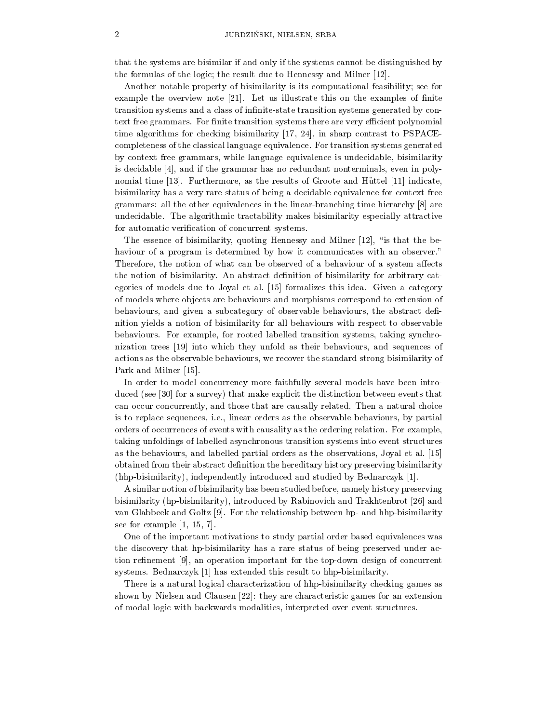that the systems are bisimilar if and only if the systems cannot be distinguished by the formulas of the logic; the result due to Hennessy and Milner  $[12]$ .

Another notable property of bisimilarity is its computational feasibility; see for example the overview note  $|21|$ . Let us illustrate this on the examples of finite transition systems and a class of infinite-state transition systems generated by context free grammars. For finite transition systems there are very efficient polynomial time algorithms for checking bisimilarity [17, 24], in sharp contrast to PSPACEcompleteness of the classical language equivalence. For transition systems generated by context free grammars, while language equivalence is undecidable, bisimilarity is decidable [4], and if the grammar has no redundant nonterminals, even in polynomial time [13]. Furthermore, as the results of Groote and Hüttel [11] indicate, bisimilarity has a very rare status of being a decidable equivalence for context free grammars: all the other equivalences in thelinear-branching time hierarchy [8] are undecidable. The algorithmic tractability makes bisimilarity especially attractive for automatic verification of concurrent systems.

The essence of bisimilarity, quoting Hennessy and Milner [12], "is that the behaviour of a program is determined by how it communicates with an observer." Therefore, the notion of what can be observed of a behaviour of a system affects the notion of bisimilarity. An abstract definition of bisimilarity for arbitrary categories of models due to Joyal et al. [15] formalizes this idea. Given a category of models where ob jects are behaviours and morphisms correspond to extension of behaviours, and given a subcategory of observable behaviours, the abstract definition yields a notion of bisimilarity for all behaviours with respect to observable behaviours. For example, for rooted labelled transition systems, taking synchronization trees[19] into which they unfold as their behaviours, and sequences of actions as the observable behaviours, we recover the standard strong bisimilarity of Park and Milner [15].

In order to model concurrency more faithfully several models have been introduced (see [30] for a survey) that make explicit the distinction between events that can occur concurrently, and those that are causally related. Then anatural choice is to replace sequences, i.e., linear orders as the observable behaviours, by partial orders of occurrences of events with causality as the ordering relation. For example, taking unfoldings of labelled asynchronous transition systems into event structures as the behaviours, and labelled partial orders as the observations, Joyal et al. [15] obtained from their abstract definition the hereditary history preserving bisimilarity (hhp-bisimilarity), independently introduced and studied by Bednarczyk [1].

A similar notion of bisimilarity has been studied before, namely history preserving bisimilarity (hp-bisimilarity), introduced by Rabinovich and Trakhtenbrot [26] and van Glabbeek and Goltz [9]. For the relationship between hp- and hhp-bisimilarity see for example [1, 15, 7].

One of the important motivations to study partial order based equivalences was the discovery that hp-bisimilarity has a rare status of being preserved under ac tion refinement  $[9]$ , an operation important for the top-down design of concurrent systems. Bednarczyk [1] has extended this result to hhp-bisimilarity.

There is a natural logical characterization of hhp-bisimilarity checking games as shown by Nielsen and Clausen [22]: they are characteristic games for an extension of modal logic with backwards modalities, interpreted over event structures.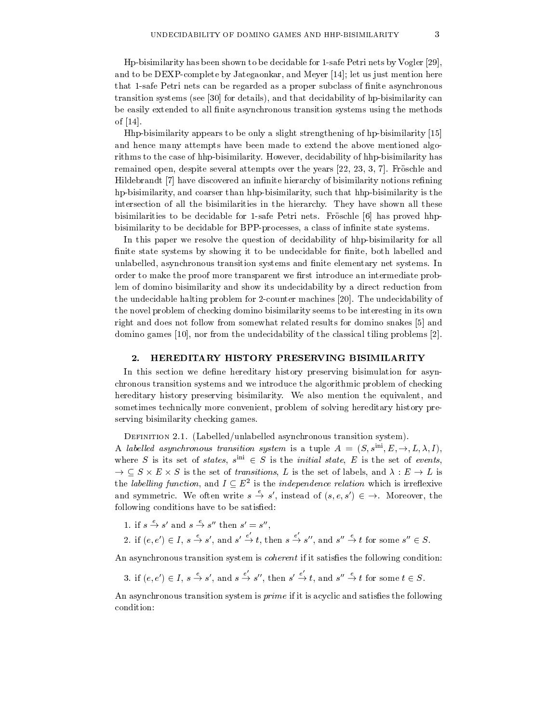Hp-bisimilarity has been shown to be decidable for 1-safe Petri nets by Vogler [29], and to be DEXP-complete by Jategaonkar, and Meyer [14]; let us just mention here that 1-safe Petrinets can be regarded as a proper subclass of finite asynchronous transition systems (see [30] for details), and that decidability of hp-bisimilarity can be easily extended to all finite asynchronous transition systems using the methods of [14].

Hhp-bisimilarity appears to be only a slight strengthening of hp-bisimilarity [15] and hence many attempts have been made to extend the above mentioned algorithms to the case of hhp-bisimilarity. However, decidability of hhp-bisimilarity has remained open, despite several attempts over the years [22, 23, 3, 7]. Froschle and Hildebrandt [7] have discovered an infinite hierarchy of bisimilarity notions refining hp-bisimilarity, and coarser than hhp-bisimilarity, such that hhp-bisimilarity is the intersection of all the bisimilarities in the hierarchy. They have shown all these bisimilarities to be decidable for 1-safe Petri nets. Fröschle [6] has proved hhpbisimilarity to be decidable for BPP-processes, a class of infinite state systems.

In this paper we resolve the question of decidability of hhp-bisimilarity for all finite state systems by showing it to be undecidable for finite, both labelled and unlabelled, asynchronous transition systems and finite elementary net systems. In order to make the proof more transparent we first introduce an intermediate problem of domino bisimilarity and show its undecidability by a direct reduction from the undecidable halting problem for 2-counter machines [20]. The undecidability of the novel problem of checking domino bisimilarity seems to be interesting in its own right and does not follow from somewhat related results for domino snakes [5] and domino games [10], nor from the undecidability of the classical tiling problems [2].

# 2. HEREDITARY HISTORY PRESERVING BISIMILARITY

In this section we define hereditary history preserving bisimulation for asynchronous transition systems and we introduce the algorithmic problem of checking hereditary history preserving bisimilarity. We also mention the equivalent, and sometimes technically more convenient, problem of solving hereditary history preserving bisimilarity checking games.

Definition 2.1. (Labelled/unlabelled asynchronous transition system).

A labelled asynchronous transition system is a tuple  $A = (S, s^{\text{ini}}, E, \rightarrow, L, \lambda, I)$ , where  $S$  is its set of *states*,  $s^{++} \in S$  is the *initial state*, E is the set of *events*,  $\rightarrow$   $\subseteq$   $\rightarrow$   $\times$   $\rightarrow$   $\perp$  is the set of transitions, L is the set of labels, and  $\land$  : E  $\rightarrow$  L is the *labelithy function*, and  $I \subseteq E^-$  is the *independence relation* which is irreflexive and symmetric. We often write  $s \to s'$ , instead of  $(s, e, s') \in \to$ . Moreover, the following conditions have to be satisfied:

1. if  $s \to s'$  and  $s \to s''$  then  $s' = s''$ , , and the contract of the contract of the contract of the contract of the contract of the contract of the contract of the contract of the contract of the contract of the contract of the contract of the contract of the con 2. if  $(e, e') \in I$ ,  $s \xrightarrow{e} s'$ , and  $s' \xrightarrow{e} t$ , then  $s \xrightarrow{e} s''$ , and  $s'' \xrightarrow{e} t$  for some  $s'' \in S$ .

An asynchronous transition system is *coherent* if it satisfies the following condition:

3. if  $(e, e') \in I$ ,  $s \xrightarrow{\rho} s'$ , and  $s \xrightarrow{\rho} s''$ , then  $s' \xrightarrow{\rho} t$ , and  $s'' \xrightarrow{\rho} t$  for some  $t \in S$ .

An asynchronous transition system is  $prime$  if it is acyclic and satisfies the following condition: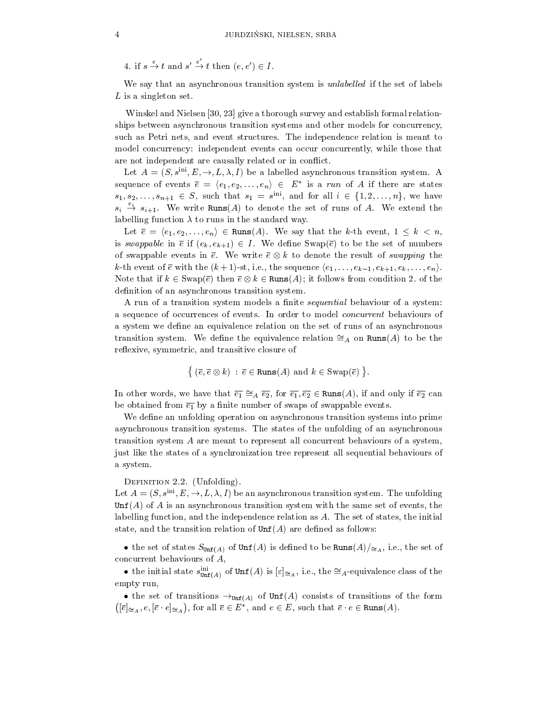4. if  $s \stackrel{e}{\to} t$  and  $s' \stackrel{e}{\to} t$  then  $(e, e') \in I$ .

We say that an asynchronous transition system is *unlabelled* if the set of labels  $L$  is a singleton set.

Winskel and Nielsen [30, 23] give a thorough survey and establish formal relationships between asynchronous transition systems and other models for concurrency, such as Petri nets, and event structures. The independence relation is meant to model concurrency: independent events can occur concurrently, while those that are not independent are causally related or in conflict.

Let  $A = (S, s^{\text{ini}}, E, \rightarrow, L, \lambda, I)$  be a labelled asynchronous transition system. A sequence of events  $e = (e_1, e_2, \ldots, e_n) \in E$  is a run of A if there are states  $s_1, s_2, \ldots, s_{n+1} \in S$ , such that  $s_1 = s^{...}$ , and for all  $i \in \{1, 2, \ldots, n\}$ , we have  $s_i \stackrel{e_i}{\rightarrow} s_{i+1}$ . We write Runs(A) to denote the set of runs of A. We extend the labelling function  $\lambda$  to runs in the standard way.

Let  $\overline{e} = \langle e_1, e_2, \ldots, e_n \rangle \in \text{Runs}(A)$ . We say that the k-th event,  $1 \leq k < n$ , is swappable in  $\overline{e}$  if  $(e_k, e_{k+1}) \in I$ . We define Swap( $\overline{e}$ ) to be the set of numbers of swappable events in e. We write  $e \otimes \kappa$  to denote the result of swapping the k-th event of  $\overline{e}$  with the  $(k+1)$ -st, i.e., the sequence  $\langle e_1,\ldots,e_{k-1}, e_{k+1}, e_k,\ldots,e_n\rangle$ . Note that if  $\kappa \in \text{Swable}$  (then  $e \otimes \kappa \in \texttt{Kuns}(A)$ ); it follows from condition 2. of the definition of an asynchronous transition system.

A run of a transition system models a finite *sequential* behaviour of a system: a sequence of occurrences of events. In order to model concurrent behaviours of a system we define an equivalence relation on the set of runs of an asynchronous transition system. We define the equivalence relation  $\cong_A$  on Runs(A) to be the reflexive, symmetric, and transitive closure of

$$
\{ (\overline{e}, \overline{e} \otimes k) : \overline{e} \in \text{Runs}(A) \text{ and } k \in \text{Swap}(\overline{e}) \}.
$$

In other words, we have that  $\overline{e_1} \cong_A \overline{e_2}$ , for  $\overline{e_1}, \overline{e_2} \in \text{Runs}(A)$ , if and only if  $\overline{e_2}$  can be obtained from  $\overline{e_1}$  by a finite number of swaps of swappable events.

We define an unfolding operation on asynchronous transition systems into prime asynchronous transition systems. The states of the unfolding of an asynchronous transition system A are meant to represent all concurrent behaviours of a system, just like the states of a synchronization tree represent all sequential behaviours of a system.

# DEFINITION 2.2. (Unfolding).

Let  $A = (S, s^{\text{ini}}, E, \rightarrow, L, \lambda, I)$  be an asynchronous transition system. The unfolding  $\text{Unf}(A)$  of A is an asynchronous transition system with the same set of events, the labelling function, and the independence relation as A. The set of states, the initial state, and the transition relation of  $\text{Unf}(A)$  are defined as follows:

• the set of states  $S_{Unf(A)}$  of  $Unf(A)$  is defined to be  $nums(A)/\simeq_A$ , i.e., the set of concurrent behaviours of A,

• the initial state  $s_{\text{Unf}(A)}^{\text{in}}$  of  $\text{Unf}(A)$  is  $\epsilon \geq A$ , i.e., the  $\leq A$ -equivalence class of the empty run,

• the set of transitions  $\rightarrow$ <sub>Unf(A)</sub> of Uni(A) consists of transitions of the form  $([\overline{e}]_{\cong_A}, e, [\overline{e} \cdot e]_{\cong_A}),$  for all  $\overline{e} \in E^*$ , and  $e \in E$ , such that  $\overline{e} \cdot e \in \text{Runs}(A)$ .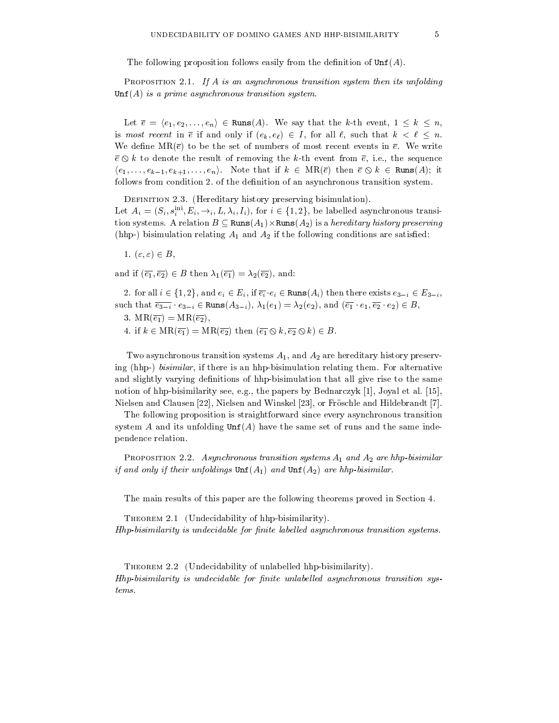The following proposition follows easily from the definition of  $\text{Unf}(A)$ .

PROPOSITION 2.1. If A is an asynchronous transition system then its unfolding  $\text{Unf}(A)$  is a prime asynchronous transition system.

Let  $\overline{e} = \langle e_1, e_2, \ldots, e_n \rangle \in \text{Runs}(A)$ . We say that the k-th event,  $1 \leq k \leq n$ , is most recent in  $\overline{e}$  if and only if  $(e_k, e_\ell) \in I$ , for all  $\ell$ , such that  $k < \ell \leq n$ . We define  $MR(\bar{e})$  to be the set of numbers of most recent events in  $\bar{e}$ . We write  $\bar{e} \otimes k$  to denote the result of removing the k-th event from  $\bar{e}$ , i.e., the sequence  $\langle e_1,\ldots,e_{k-1}, e_{k+1},\ldots,e_n\rangle$ . Note that if  $k \in \text{MR}(\overline{e})$  then  $\overline{e} \otimes k \in \text{Runs}(A)$ ; it follows from condition 2. of the definition of an asynchronous transition system.

DEFINITION 2.3. (Hereditary history preserving bisimulation).

Let  $A_i = (S_i, S_i^{\perp}, E_i, \rightarrow_i, L, \lambda_i, I_i)$ , for  $i \in \{1, 2\}$ , be labelled asynchronous transition systems. A relation  $D \subseteq \text{Kuns}(A_1) \times \text{Kuns}(A_2)$  is a *hereditary history preserving* (hhp-) bisimulation relating  $A_1$  and  $A_2$  if the following conditions are satisfied:

1.  $(\varepsilon, \varepsilon) \in B$ ,

and if  $(\overline{e_1}, \overline{e_2}) \in B$  then  $\lambda_1(\overline{e_1}) = \lambda_2(\overline{e_2})$ , and:

2. for all  $i \in \{1, 2\}$ , and  $e_i \in E_i$ , if  $\overline{e_i} \cdot e_i \in \text{Runs}(A_i)$  then there exists  $e_{3-i} \in E_{3-i}$ , such that  $\overline{e_{3-i}} \cdot e_{3-i} \in \text{Runs}(A_{3-i}), \lambda_1(e_1) = \lambda_2(e_2), \text{ and } (\overline{e_1} \cdot e_1, \overline{e_2} \cdot e_2) \in B,$ 

- 3.  $MR(\overline{e_1}) = MR(\overline{e_2}),$
- 4. if  $k \in MR(\overline{e_1}) = MR(\overline{e_2})$  then  $(\overline{e_1} \otimes k, \overline{e_2} \otimes k) \in B$ .

Two asynchronous transition systems  $A_1$ , and  $A_2$  are hereditary history preserving (hhp-) bisimilar, if there is an hhp-bisimulation relating them. For alternative and slightly varying definitions of hhp-bisimulation that all give rise to the same notion of hhp-bisimilarity see, e.g., the papers by Bednarczyk [1], Joyal et al. [15], Nielsen and Clausen [22], Nielsen and Winskel [23], or Froschle and Hildebrandt [7].

The following proposition is straightforward since every asynchronous transition system  $A$  and its unfolding  $\text{Unf}(A)$  have the same set of runs and the same independence relation.

PROPOSITION 2.2. Asynchronous transition systems  $A_1$  and  $A_2$  are hhp-bisimilar if and only if their unfoldings  $\text{Unf}(A_1)$  and  $\text{Unf}(A_2)$  are hhp-bisimilar.

The main results of this paper are the following theorems proved in Section 4.

THEOREM 2.1 (Undecidability of hhp-bisimilarity).  $H$ hp-bisimilarity is undecidable for finite labelled asynchronous transition systems.

Theorem 2.2 (Undecidability of unlabelled hhp-bisimilarity).  $H$ hp-bisimilarity is undecidable for finite unlabelled asynchronous transition systems.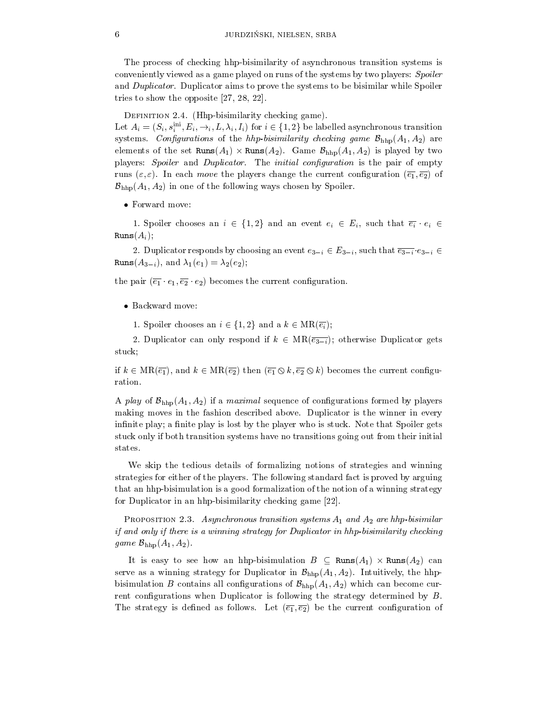The process of checking hhp-bisimilarity of asynchronous transition systems is conveniently viewed as a game played on runs of the systems by two players: Spoiler and Duplicator. Duplicator aims to prove the systems to be bisimilar while Spoiler tries to show the opposite [27, 28, 22].

DEFINITION 2.4. (Hhp-bisimilarity checking game).

Let  $A_i = (S_i, s_i^{\dots}, E_i, \rightarrow_i, L, \lambda_i, I_i)$  for  $i \in \{1, 2\}$  be labelled asynchronous transition systems. Configurations of the hhp-bisimilarity checking game  $\mathcal{B}_{\text{hhp}}(A_1, A_2)$  are elements of the set  $\texttt{runs}(A_1) \times \texttt{runs}(A_2)$ . Game  $\mathcal{D}_{\text{hhp}}(A_1, A_2)$  is played by two players: Spoiler and Duplicator. The initial configuration is the pair of empty runs  $(\varepsilon, \varepsilon)$ . In each *move* the players change the current configuration  $(\overline{e_1}, \overline{e_2})$  of  $\mathcal{B}_{\text{hhp}}(A_1, A_2)$  in one of the following ways chosen by Spoiler.

 $\bullet$  rorward move:

1. Spoiler chooses an  $i \in \{1,2\}$  and an event  $e_i \in E_i$ , such that  $\overline{e_i} \cdot e_i \in$  $Runs(A_i);$ 

2. Duplicator responds by choosing an event  $e_{3-i} \in E_{3-i}$ , such that  $\overline{e_{3-i}} \cdot e_{3-i}$ Runs $(A_{3-i})$ , and  $\lambda_1(e_1) = \lambda_2(e_2)$ ;

the pair  $(\overline{e_1} \cdot e_1, \overline{e_2} \cdot e_2)$  becomes the current configuration.

 $\bullet$  dackward move:

1. Spoiler chooses an  $i \in \{1,2\}$  and a  $k \in MR(\overline{e_i})$ ;

2. Duplicator can only respond if  $k \in MR(\overline{e_{3-i}})$ ; otherwise Duplicator gets stuck;

if  $k \in \text{MR}(\overline{e_1})$ , and  $k \in \text{MR}(\overline{e_2})$  then  $(\overline{e_1} \otimes k, \overline{e_2} \otimes k)$  becomes the current configuration.

A play of  $\mathcal{B}_{\text{hhp}}(A_1, A_2)$  if a *maximal* sequence of configurations formed by players making moves in the fashion described above. Duplicator is the winner in every infinite play; a finite play is lost by the player who is stuck. Note that Spoiler gets stuck only if both transition systems have no transitions going outfrom their initial states.

We skip the tedious details of formalizing notions of strategies and winning strategies for either of the players. The following standard fact is proved by arguing that an hhp-bisimulation is a good formalization of the notion of a winning strategy for Duplicator in an hhp-bisimilarity checking game [22].

PROPOSITION 2.3. Asynchronous transition systems  $A_1$  and  $A_2$  are hhp-bisimilar if and only if there is a winning strategy for Duplicator in hhp-bisimilarity checking game  $\mathcal{B}_{\text{hhp}}(A_1, A_2)$ .

It is easy to see now an imp-bisimulation  $D \subseteq \texttt{Kuns}(A_1) \times \texttt{Kuns}(A_2)$  can serve as a winning strategy for Duplicator in  $\mathcal{B}_{hhp}(A_1, A_2)$ . Intuitively, the hhpbisimulation B contains all configurations of  $\mathcal{B}_{\text{hhp}}(A_1, A_2)$  which can become current configurations when Duplicator is following the strategy determined by  $B$ . The strategy is defined as follows. Let  $(\overline{e_1}, \overline{e_2})$  be the current configuration of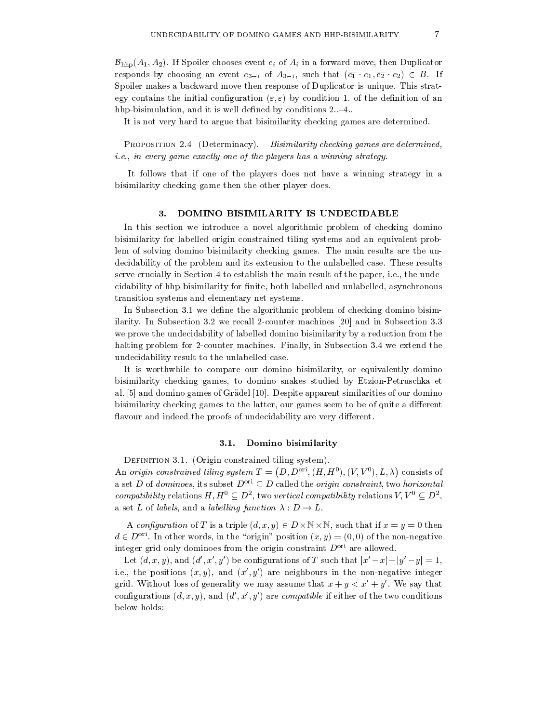$\mathcal{B}_{\text{hhp}}(A_1, A_2)$ . If Spoiler chooses event  $e_i$  of  $A_i$  in a forward move, then Duplicator responds by choosing an event  $e_{3-i}$  of  $A_{3-i}$ , such that  $(\overline{e_1} \cdot e_1, \overline{e_2} \cdot e_2) \in B$ . If Spoiler makes a backward move then response of Duplicator is unique. This strategy contains the initial configuration  $(\varepsilon, \varepsilon)$  by condition 1. of the definition of an hhp-bisimulation, and it is well defined by conditions  $2:-4$ .

It is not very hard to argue that bisimilarity checking games are determined.

PROPOSITION 2.4 (Determinacy). Bisimilarity checking games are determined, i.e., in every game exactly one of the players has a winning strategy.

It follows that if one of the players does not have a winning strategy in a bisimilarity checking game then the other player does.

# 3. DOMINO BISIMILARITY IS UNDECIDABLE

In this section we introduce a novel algorithmic problem of checking domino bisimilarity for labelled origin constrained tiling systems and an equivalent problem of solving domino bisimilarity checking games. The main results are the un-decidability of the problem and its extension to the unlabelled case. These results serve crucially in Section 4to establish themain result ofthe paper, i.e., the undecidability of hhp-bisimilarity for finite, both labelled and unlabelled, asynchronous transition systems and elementary net systems.

In Subsection 3.1 we define the algorithmic problem of checking domino bisimilarity. In Subsection 3.2 we recall 2-counter machines [20] and in Subsection 3.3 we prove the undecidability of labelled domino bisimilarity by a reduction from the halting problem for 2-counter machines. Finally, in Subsection 3.4 we extend the undecidability result to the unlabelled case.

It is worthwhile to compare our domino bisimilarity, or equivalently domino bisimilarity checking games, to domino snakes studied by Etzion-Petruschka et al. [5] and domino games of Gradel [10]. Despite apparent similarities of our domino bisimilarity checking games to the latter, our games seem to be of quite a different flavour and indeed the proofs of undecidability are very different.

# 3.1. Domino bisimilarity

DEFINITION 3.1. (Origin constrained tiling system). An origin constrained tiling system  $T = (D, D^{\text{ori}}, (H, H^0), (V, V^0), L, \lambda)$  consists of a set D of dominoes, its subset  $D^{ori} \subseteq D$  called the *origin constraint*, two *horizontal compatibility* relations  $H, H^{\perp} \subseteq D^{\perp}$ , two vertical compatibility relations  $V, V^{\perp} \subseteq D^{\perp}$ , a set L of labels, and a labelling function  $\lambda : D \to L$ .

A configuration of T is a triple  $(a, x, y) \in D \times \mathbb{N} \times \mathbb{N}$ , such that if  $x = y = 0$  then  $d \in D^{\text{ori}}$ . In other words, in the "origin" position  $(x, y) = (0, 0)$  of the non-negative integer grid only dominoes from the origin constraint  $D^{ori}$  are allowed.

Let  $(a, x, y)$ , and  $(a, x, y)$  be configurations of T such that  $|x-x|+|y-y|=1$ , i.e., the positions  $(x, y)$ , and  $(x', y')$  are neighbours in the non-negative integer grid. Without loss of generality we may assume that  $x + y < x' + y'$ . We say that configurations  $(d, x, y)$ , and  $(d', x', y')$  are *compatible* if either of the two conditions below holds:

,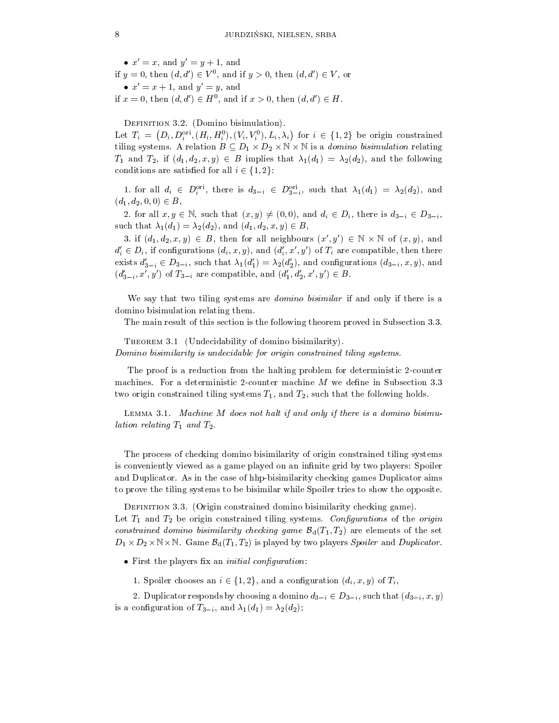$\bullet x = x$ , and  $y = y + 1$ , and if  $y = 0$ , then  $(a, a) \in V$ ; and if  $y > 0$ , then  $(a, a) \in V$ , or  $x = x + 1$ , and  $y = y$ , and if  $x = 0$ , then  $(a, a) \in H^{\circ}$ , and if  $x > 0$ , then  $(a, a) \in H$ .

DEFINITION 3.2. (Domino bisimulation).

Let  $T_i = (D_i, D_i^{\text{ori}}, (H_i, H_i^0), (V_i, V_i^0), L_i, \lambda_i)$  for  $i \in \{1,2\}$  be origin constrained tiling systems. A relation  $B \subseteq D_1 \times D_2 \times \mathbb{N} \times \mathbb{N}$  is a *domino oisimulation* relating  $T_1$  and  $T_2$ , if  $(d_1, d_2, x, y) \in B$  implies that  $\lambda_1(d_1) = \lambda_2(d_2)$ , and the following conditions are satisfied for all  $i \in \{1, 2\}$ :

1. for an  $a_i \in D_i^{\ldots}$ , there is  $a_{3-i} \in D_{3-i}^{\ldots}$ , such that  $\lambda_1(a_1) = \lambda_2(a_2)$ , and  $(d_1, d_2, 0, 0) \in B$ ,

2. for all  $x, y \in \mathbb{N}$ , such that  $(x, y) \neq (0, 0)$ , and  $d_i \in D_i$ , there is  $d_{3-i} \in D_{3-i}$ , such that  $\lambda_1(d_1) = \lambda_2(d_2)$ , and  $(d_1, d_2, x, y) \in B$ ,

3. If  $(a_1, a_2, x, y) \in B$ , then for all neighbours  $(x, y) \in \mathbb{N} \times \mathbb{N}$  of  $(x, y)$ , and  $a_i \in D_i$ , if comigurations  $(a_i, x, y)$ , and  $(a_i, x, y)$  of  $T_i$  are compatible, then there exists  $d'_{3-i} \in D_{3-i}$ , such that  $\lambda_1(d'_1) = \lambda_2(d'_2)$ , and configurations  $(d_{3-i}, x, y)$ , and  $(a_{3-i}, x_j, y_j)$  of  $x_{3-i}$  are compatible, and  $(a_1, a_2, x_j, y_j) \in D$ .

We say that two tiling systems are *domino bisimilar* if and only if there is a domino bisimulation relating them.

The main result of this section is the following theorem proved in Subsection 3.3.

THEOREM 3.1 (Undecidability of domino bisimilarity).

Domino bisimilarity is undecidable for origin constrained tiling systems.

The proof is a reduction from the halting problem for deterministic 2-counter machines. For a deterministic 2-counter machine  $M$  we define in Subsection 3.3 two origin constrained tiling systems  $T_1$ , and  $T_2$ , such that the following holds.

Lemma 3.1. Machine M does not halt if and only if there is a domino bisimulation relating  $T_1$  and  $T_2$ .

The process of checking domino bisimilarity of origin constrained tiling systems is conveniently viewed as a game played on an infinite grid by two players: Spoiler and Duplicator. As in the case of hhp-bisimilarity checking games Duplicator aims to prove the tiling systems to be bisimilar while Spoiler tries to show the opposite.

DEFINITION 3.3. (Origin constrained domino bisimilarity checking game). Let  $T_1$  and  $T_2$  be origin constrained tiling systems. Configurations of the origin constrained domino bisimilarity checking game  $\mathcal{B}_d(T_1, T_2)$  are elements of the set  $D_1 \times D_2 \times \mathbb{N} \times \mathbb{N}$ . Game  $\mathcal{D}_d(T_1, T_2)$  is played by two players *Spoiler* and Duplicator.

 $\bullet$  rifst the players iix an *initial compouration*:

1. Spoiler chooses an  $i \in \{1,2\}$ , and a configuration  $(d_i, x, y)$  of  $T_i$ ,

2. Duplicator responds by choosing a domino  $d_{3-i} \in D_{3-i}$ , such that  $(d_{3-i}, x, y)$ is a configuration of  $T_{3-i}$ , and  $\lambda_1(d_1) = \lambda_2(d_2)$ ;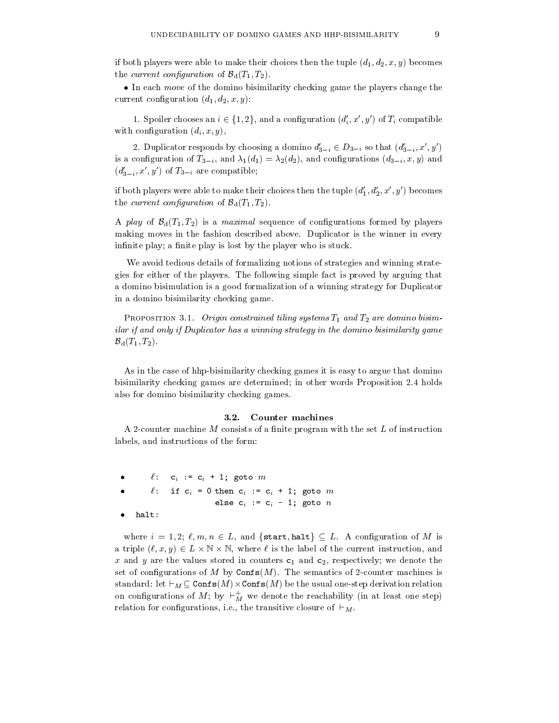if both players were able to make their choices then the tuple  $(d_1, d_2, x, y)$  becomes the current configuration of  $\mathcal{B}_d(T_1, T_2)$ .

 $\bullet$  In each *move* of the domino bisimilarity checking game the players change the current configuration  $(d_1, d_2, x, y)$ :

1. Spoiler chooses an  $i \in \{1, 2\}$ , and a configuration  $(a_i, x, y)$  of  $T_i$  compatible with configuration  $(d_i, x, y)$ ,

2. Duplicator responds by choosing a domino  $a_{3-i} \in D_{3-i}$  so that  $(a_{3-i}, x, y)$ is a configuration of  $T_{3-i}$ , and  $\lambda_1(d_1) = \lambda_2(d_2)$ , and configurations  $(d_{3-i}, x, y)$  and  $(a_{3-i}, x_i, y_j)$  of  $x_{3-i}$  are compatible;

if both players were able to make their choices then the tuple  $(d'_1, d'_2, x', y')$  becomes the current configuration of  $\mathcal{B}_{d}(T_1, T_2)$ .

A play of  $\mathcal{B}_d(T_1, T_2)$  is a maximal sequence of configurations formed by players making moves in the fashion described above. Duplicator is the winner in every infinite play; a finite play is lost by the player who is stuck.

We avoid tedious details of formalizing notions of strategies and winning strategies for either of the players. The following simple fact is proved by arguing that a domino bisimulation is a good formalization of a winning strategy for Duplicator in a domino bisimilarity checking game.

PROPOSITION 3.1. Origin constrained tiling systems  $T_1$  and  $T_2$  are domino bisimilar if and only if Duplicator has a winning strategy in the domino bisimilarity game  $\mathcal{B}_d(T_1, T_2)$ .

As in the case of hhp-bisimilarity checking games it is easy to argue that domino bisimilarity checking games are determined; in other words Proposition 2.4 holds also for domino bisimilarity checking games.

#### 3.2. Counter machines

A 2-counter machine M consists of a finite program with the set  $L$  of instruction

 $\ell$  $\ell: c_i := c_i + 1;$  goto  $m$ . .  $\ell:$  if  $c_i = 0$  then  $c_i := c_i + 1$ ; goto m else  $c_i := c_i - 1$ ; goto  $n$  $\bullet$ halt:

where  $i = 1, 2; \ell, m, n \in L$ , and  $\{\text{start}, \text{halt}\} \subseteq L$ . A configuration of M is a triple  $(\ell, x, y) \in L \times \mathbb{N} \times \mathbb{N}$ , where  $\ell$  is the label of the current instruction, and x and y are the values stored in counters  $c_1$  and  $c_2$ , respectively; we denote the set of configurations of M by  $\texttt{Confs}(M)$ . The semantics of 2-counter machines is standard: let  $\sqsubset_M \subseteq \mathtt{conis}(M) \times \mathtt{cons}(M)$  be the usual one-step derivation relation on configurations of  $M$ ; by  $\vdash_M^M$  we denote the reachability (in at least one step) relation for configurations, i.e., the transitive closure of  $\vdash_M$ .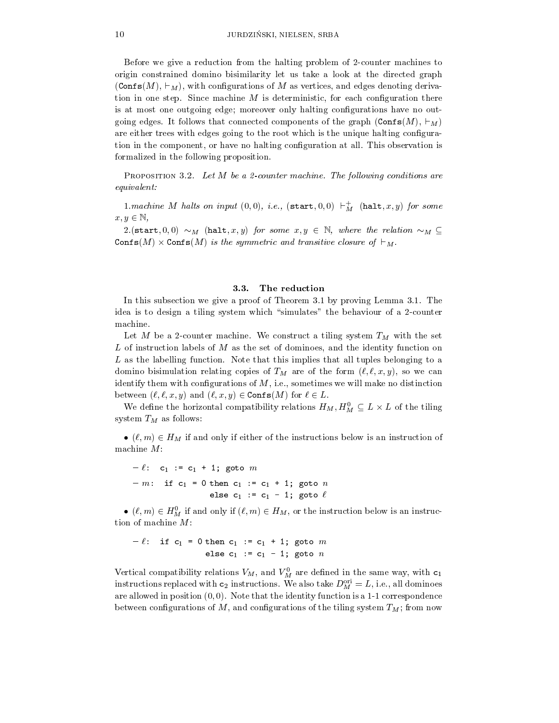Before we give a reduction from the halting problem of 2-counter machines to origin constrained domino bisimilarity let us take a look at the directed graph  $(\text{Confs}(M), \vdash_M)$ , with configurations of M as vertices, and edges denoting derivation in one step. Since machine  $M$  is deterministic, for each configuration there is at most one outgoing edge; moreover only halting congurations have no outgoing edges. It follows that connected components of the graph  $(\text{Confs}(M), \vdash_M)$ are either trees with edges going to the root which is the unique halting configuration in the component, or have no halting conguration at all. This observation is formalized in the following proposition.

PROPOSITION 3.2. Let  $M$  be a 2-counter machine. The following conditions are equivalent:

1.machine M halts on input  $(0, 0)$ , i.e.,  $(\texttt{start}, 0, 0) \vdash_M'$   $(\texttt{halt}, x, y)$  for some  $x, y \in \mathbb{N}$ ,

2.(start, 0,0)  $\sim_M$  (halt, x, y) for some  $x, y \in \mathbb{N}$ , where the relation  $\sim_M \mathbb{S}$ Confs(M)  $\times$  Confs(M) is the symmetric and transitive closure of  $\sqsubset_M$ .

#### 3.3. The reduction

In this subsection we give a proof of Theorem 3.1 by proving Lemma 3.1. The idea is to design a tiling system which "simulates" the behaviour of a 2-counter machine.

Let M be a 2-counter machine. We construct a tiling system  $T_M$  with the set L of instruction labels of  $M$  as the set of dominoes, and the identity function on  $L$  as the labelling function. Note that this implies that all tuples belonging to a domino bisimulation relating copies of  $T_M$  are of the form  $(\ell, \ell, x, y)$ , so we can identify them with configurations of  $M$ , i.e., sometimes we will make no distinction

between  $(t, t, x, y)$  and  $(t, x, y) \in \text{const}(M)$  for  $t \in L$ .<br>We define the horizontal compatibility relations  $H_M$ ,  $H_M^0 \subseteq L \times L$  of the tiling system  $T_M$  as follows:

 $\bullet$  ( $\ell, m$ )  $\in$  H<sub>M</sub> if and only if either of the instructions below is an instruction of machine  $M$ :

 $- \ell: c_1 := c_1 + 1;$  goto m  $-m:$  if  $c_1 = 0$  then  $c_1 := c_1 + 1$ ; goto n else  $c_1 := c_1 - 1$ ; goto  $\ell$ 

 $\bullet$   $(\ell, m) \in H_M^{\perp}$  if and only if  $(\ell, m) \in H_M$ , or the instruction below is an instruction of machine M:

$$
-\ell: \text{ if } c_1 = 0 \text{ then } c_1 := c_1 + 1; \text{ go to } m
$$
  
else  $c_1 := c_1 - 1; \text{ go to } n$ 

vertical compatibility relations  $v_M$ , and  $v_M$  are defined in the same way, with  $c_1$ instructions replaced with  $c_2$  instructions. We also take  $D_M^{\gamma} \equiv L$ , i.e., all dominoes are allowed in position  $(0, 0)$ . Note that the identity function is a 1-1 correspondence between configurations of M, and configurations of the tiling system  $T_M$ ; from now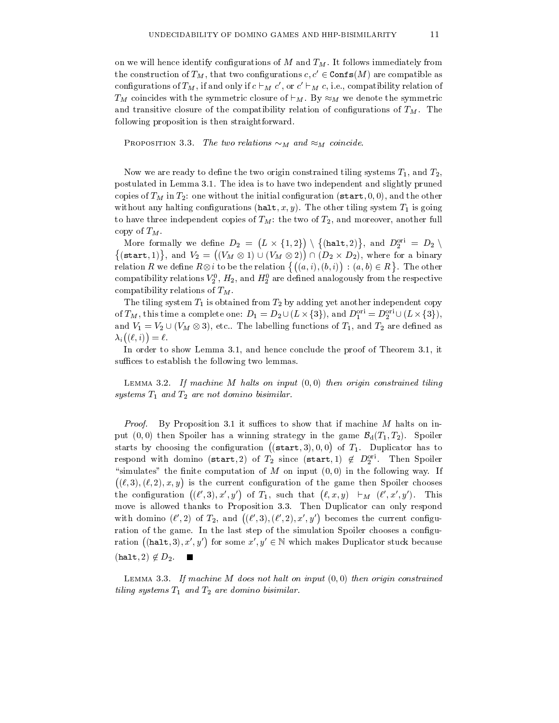on we will hence identify configurations of  $M$  and  $T_M$ . It follows immediately from the construction of  $T_M$ , that two configurations  $c, c' \in \text{Confs}(M)$  are compatible as configurations of  $I_M$ , if and only if  $c \vdash_M c$  , or  $c \vdash_M c$ , i.e., compatibility relation of  $T_M$  coincides with the symmetric closure of  $\vdash_M$ . By  $\approx_M$  we denote the symmetric and transitive closure of the compatibility relation of configurations of  $T_M$ . The following proposition is then straightforward.

PROPOSITION 3.3. The two relations  $\sim_M$  and  $\approx_M$  coincide.

Now we are ready to define the two origin constrained tiling systems  $T_1$ , and  $T_2$ , postulated in Lemma 3.1. The idea is to have two independent and slightly pruned copies of  $T_M$  in  $T_2$ : one without the initial configuration (start, 0,0), and the other without any halting configurations (halt, x, y). The other tiling system  $T_1$  is going to have three independent copies of  $T_M$ : the two of  $T_2$ , and moreover, another full copy of  $T_M$ .

More formally we define  $D_2 = (L \times \{1,2\}) \setminus \{(\text{halt}, 2)\},\$  and  $D_2^{\text{ori}} = D_2 \setminus$  $\{(\texttt{start},1)\}, \text{ and } V_2 = ((V_M \otimes 1) \cup (V_M \otimes 2)) \cap (V_M \otimes 2)$  $((V_M \otimes 1) \cup (V_M \otimes 2)) \cap (D_2 \times D_2)$ , where for a binary relation R we define  $R \otimes i$  to be the relation  $\{((a, i), (b, i)) : (a, b) \in R\}$ . The other compatibility relations  $v_2$ ,  $H_2$ , and  $H_2$  are defined analogously from the respective compatibility relations of  $T_M$ . *i*),  $(b, i)$  :  $(a, b) \in R$  . The order analogously from the respecting yet another independent c<br>{3}), and  $D_1^{\text{ori}} = D_2^{\text{ori}} \cup (L \times \{$ other<br>ective<br>copy<br>{3}),

The tiling system  $T_1$  is obtained from  $T_2$  by adding yet another independent copy of  $I_M$ , this time a complete one:  $D_1 = D_2 \cup (L \times \{3\})$ , and  $D_1^{-1} = D_2^{-1} \cup (L \times \{3\})$ , and  $v_1 = v_2 \cup (v_M \otimes s)$ , etc.. The labelling functions of  $T_1$ , and  $T_2$  are defined as  $\lambda_i((\ell, i)) = \ell.$ 

In order to show Lemma 3.1, and hence conclude the proof of Theorem 3.1, it suffices to establish the following two lemmas.

LEMMA 3.2. If machine M halts on input  $(0,0)$  then origin constrained tiling systems  $T_1$  and  $T_2$  are not domino bisimilar.

Proof. By Proposition 3.1 it suffices to show that if machine M halts on input (0,0) then Spoiler has a winning strategy in the game  $\mathcal{B}_d(T_1, T_2)$ . Spoiler starts by choosing the configuration  $((start, 3), 0, 0)$  of  $T_1$ . Duplica e a company and the company of the company of the company of the company of the company of the company of the company of the company of the company of the company of the company of the company of the company of the company of T<sub>1</sub>. Duplication has to the top of the top of the top of the top of the top of the top of the top of the top of the top of the top of the top of the top of the top of the top of the top of the top of the top of the top respond with domino (start, 2) of  $I_2$  since (start, 1)  $\notin D_2^{--}$ . Then Spoiler "simulates" the finite computation of  $M$  on input  $(0,0)$  in the following way. If  $((\ell, 3), (\ell, 2), x, y)$  is the current configuration of the game then Spoiler chooses the configuration  $((\ell',3),x',y')$  of  $T_1$ , such that  $(\ell,x,y) \vdash_M (\ell',x',y')$ . This move is allowed thanks to Proposition 3.3. Then Duplicator can only respond with domino  $(\ell', 2)$  of  $T_2$ , and  $((\ell', 3), (\ell', 2), x', y')$  becomes the current configuration of the game. In the last step of the simulation Spoiler chooses a configuration  $((\text{halt}, 3), x', y')$  for some  $x', y' \in \mathbb{N}$  which makes Duplicator stuck because  $(halt, 2) \notin D_2$ .

LEMMA 3.3. If machine  $M$  does not halt on input  $(0, 0)$  then origin constrained tiling systems  $T_1$  and  $T_2$  are domino bisimilar.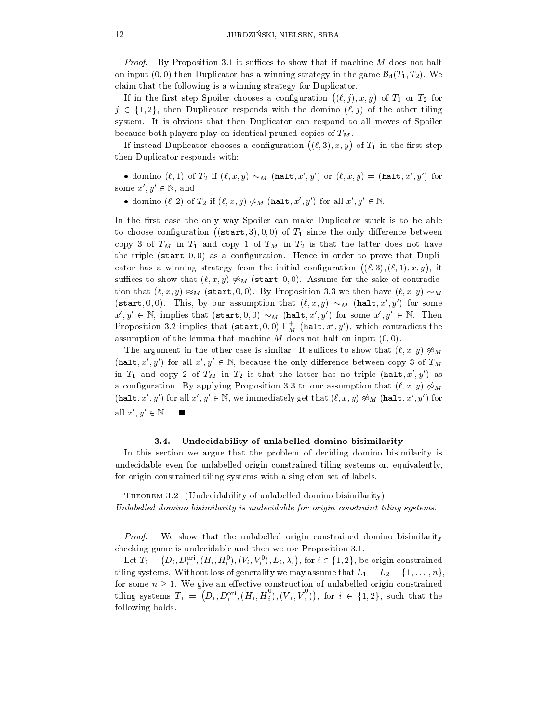*Proof.* By Proposition 3.1 it suffices to show that if machine  $M$  does not halt on input  $(0,0)$  then Duplicator has a winning strategy in the game  $\mathcal{B}_d(T_1,T_2)$ . We claim that the following is a winning strategy for Duplicator.

If in the first step Spoiler chooses a configuration  $((\ell, j), x, y)$  of  $T_1$  or  $T_2$  for  $j \in \{1, 2\}$ , then Duplicator responds with the domino  $(\ell, j)$  of the other tiling system. It is obvious that then Duplicator can respond to all moves of Spoiler because both players play on identical pruned copies of  $T_M$ .

If instead Duplicator chooses a configuration  $((\ell,3),x,y)$  of  $T_1$  in the first step then Duplicator responds with:

 $\bullet$  domino ( $\ell, 1$ ) of  $T_2$  if  $(\ell, x, y) \sim_M$  (halt,  $x, y$ ) or  $(\ell, x, y) =$  (halt,  $x, y$ ) for some  $x', y' \in \mathbb{N}$ , and

 $\bullet$  domino  $(\ell, 2)$  of  $T_2$  if  $(\ell, x, y) \nsim_M$  (halt, x, y) for all  $x, y \in \mathbb{N}$ .

In the first case the only way Spoiler can make Duplicator stuck is to be able to choose configuration ((start, 3), 0,0) of  $T_1$  since the only difference between copy 3 of  $T_M$  in  $T_1$  and copy 1 of  $T_M$  in  $T_2$  is that the latter does not have the triple  $(\texttt{start}, 0, 0)$  as a configuration. Hence in order to prove that Duplicator has a winning strategy from the initial configuration  $((\ell,3),(\ell,1),x,y)$ , it suffices to show that  $(\ell, x, y) \not\approx_M (\text{start}, 0, 0)$ . Assume for the sake of contradiction that  $(\ell, x, y) \approx_M (\text{start}, 0, 0)$ . By Proposition 3.3 we then have  $(\ell, x, y) \sim_M$ (start, 0,0). This, by our assumption that  $(\ell, x, y) \sim_M (\text{halt}, x', y')$  for some  $x', y' \in \mathbb{N}$ , implies that  $(\texttt{start}, 0, 0) \sim_M (\texttt{halt}, x', y')$  for some  $x', y' \in \mathbb{N}$ . Then Proposition 3.2 implies that (start,  $0, 0 \rangle \vdash_M \text{(halt}, x', y')$ , which contradicts the assumption of the lemma that machine  $M$  does not halt on input  $(0, 0)$ .

The argument in the other case is similar. It suffices to show that  $(\ell, x, y) \not\approx_M$ (halt, x', y') for all  $x', y' \in \mathbb{N}$ , because the only difference between copy 3 of  $T_M$ in  $T_1$  and copy 2 of  $T_M$  in  $T_2$  is that the latter has no triple (halt, x', y') as a configuration. By applying Proposition 3.3 to our assumption that  $(\ell, x, y) \nsim_M$ (halt, x', y') for all  $x', y' \in \mathbb{N}$ , we immediately get that  $(\ell, x, y) \not\approx_M (\text{halt}, x', y')$  for all  $x', y' \in \mathbb{N}$ .

## 3.4. Undecidability of unlabelled domino bisimilarity

In this section weargue that the problem of deciding domino bisimilarity is undecidable even for unlabelled origin constrained tiling systems or, equivalently, for origin constrained tiling systems with a singleton set of labels.

Theorem 3.2 (Undecidability of unlabelled domino bisimilarity). Unlabelled domino bisimilarity is undecidable for origin constraint tiling systems.

Proof. We show that the unlabelled origin constrained domino bisimilarity checking game is undecidable and then we use Proposition 3.1.

Let  $T_i = (D_i, D_i^{\text{ori}}, (H_i, H_i^0), (V_i, V_i^0), L_i, \lambda_i)$ , for  $i \in \{1, 2\}$ , be origin constrained tiling systems. Without loss of generality we may assume that  $L_1 = L_2 = \{1, \ldots, n\}$ , for some  $n \geq 1$ . We give an effective construction of unlabelled origin constrained tiling systems  $\overline{T}_i = (\overline{D}_i, D_i^{\text{ori}}, (\overline{H}_i, \overline{H}_i), (\overline{V}_i, \overline{V}_i)),$  for  $i \in \{1,2\}$ , such that the following holds.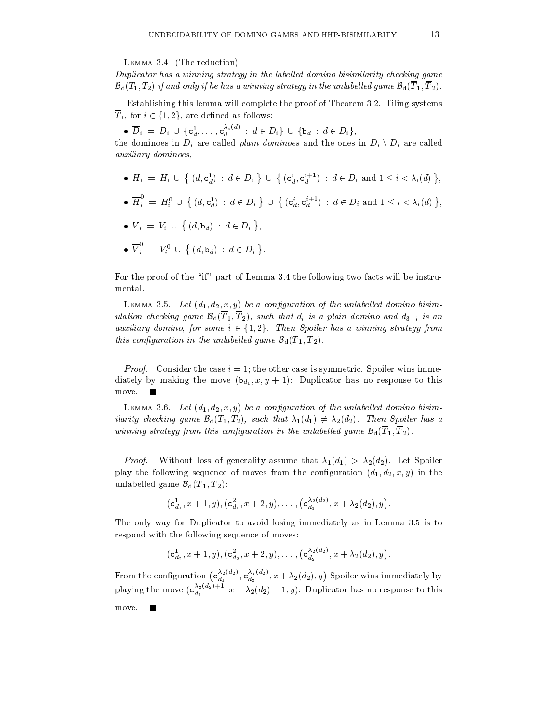Lemma 3.4 (The reduction).

Duplicator has a winning strategy in the labelled domino bisimilarity checking game  $\mathcal{B}_{d}(T_1, T_2)$  if and only if he has a winning strategy in the unlabelled game  $\mathcal{B}_{d}(T_1, T_2)$ .

Establishing this lemma will complete the proof of Theorem 3.2. Tiling systems  $I_i$ , for  $i \in \{1, 2\}$ , are defined as follows:

•  $D_i = D_i \cup \{c_d^1, \ldots, c_d^{n^{k+1}} : d \in D_i\} \cup \{b_d : d \in D_i\},\$ 

the dominoes in  $D_i$  are called plain dominoes and the ones in  $\overline{D}_i \setminus D_i$  are called auxiliary dominoes,

- $\bullet \ \overline{H}_i \ = \ H_i \ \cup \ \bigl\{ \ (d, \mathtt{c}_d^1) \ : \ d \in D_i \ \bigr\} \ \cup \ \bigl\{ \ (\mathtt{c}_d^i, \mathtt{c}_d^{i+1}) \ : \ d \in D_i \ \text{and} \ 1 \leq i < \lambda_i(d) \ \bigr\},$ , and the contract of the contract of the contract of the contract of the contract of the contract of the contract of the contract of the contract of the contract of the contract of the contract of the contract of the con
- $\bullet \ \overline{H}^\circ_i \ = \ H^0_i \ \cup \ \bigl\{ \ (d,\mathtt{c}^1_d) \ : \ d \in D_i \ \bigr\} \ \cup \ \bigl\{ \ (\mathtt{c}^i_d,\mathtt{c}^{i+1}_d) \ : \ d \in D_i \ \text{and} \ 1 \leq i < \lambda_i(d) \ \bigr\},$ ,
- $\bullet \ \overline{V}_i = V_i \cup \{ (d, \mathbf{b}_d) : d \in D_i \},$ ,
- $\bullet$   $\overline{V}_i^{\circ} = V_i^0 \cup \{(d, \mathsf{b}_d) : d \in D_i\}.$

For the proof of the "if" part of Lemma 3.4 the following two facts will be instrumental.

LEMMA 3.5. Let  $(d_1, d_2, x, y)$  be a configuration of the unlabelled domino bisimulation checking game  $\mathcal{B}_d(\overline{T}_1, \overline{T}_2)$ , such that  $d_i$  is a plain domino and  $d_{3-i}$  is an auxiliary domino, for some  $i \in \{1, 2\}$ . Then Spoiler has a winning strategy from this configuration in the unlabelled game  $\mathcal{B}_d(T_1, T_2)$ .

*Proof.* Consider the case  $i = 1$ ; the other case is symmetric. Spoiler wins immediately by making the move  $(b_{d_1}, x, y + 1)$ : Duplicator has no response to this move.

LEMMA 3.6. Let  $(d_1, d_2, x, y)$  be a configuration of the unlabelled domino bisimilarity checking game  $\mathcal{B}_d(T_1, T_2)$ , such that  $\lambda_1(d_1) \neq \lambda_2(d_2)$ . Then Spoiler has a winning strategy from this configuration in the unlabelled game  $\mathcal{B}_d(\overline{T}_1, \overline{T}_2)$ .

*Proof.* Without loss of generality assume that  $\lambda_1(d_1) > \lambda_2(d_2)$ . Let Spoiler play the following sequence of moves from the configuration  $(d_1, d_2, x, y)$  in the unlabelled game  $\mathcal{B}_{d}(\overline{T}_{1}, \overline{T}_{2})$ :

$$
({\mathsf c}_{d_1}^1,x+1,y), ({\mathsf c}_{d_1}^2,x+2,y), \ldots, ({\mathsf c}_{d_1}^{\lambda_2(d_2)},x+\lambda_2(d_2),y).
$$

The only way for Duplicator to avoid losing immediately as in Lemma 3.5 is to respond with the following sequence of moves:

$$
(\mathsf{c}_{d_2}^1,x+1,y),(\mathsf{c}_{d_2}^2,x+2,y),\ldots, \big(\mathsf{c}_{d_2}^{\lambda_2(d_2)},x+\lambda_2(d_2),y\big).
$$

From the configuration  $(c_i^{\lambda_2(a_2)}, c_i^{\lambda_2(a_2)}, x + \lambda)$  $d_1^{2(x-2)}, \mathsf{c}_{d_2}^{2(x-2)}, x+\lambda_2(d_2), y$  $\frac{\lambda_2(a_2)}{d_2}, x + \lambda_2(d_2), y$  Spoiler wins immediately by playing the move  $(c_i^{\alpha}$ ,  $\alpha$  +  $\lambda_2(d_2)$  +  $a_1$  ,  $a_2$  ,  $a_3$  ,  $b_1$  ,  $b_2$  ,  $c_3$  response to the total matrix  $c_1$ move.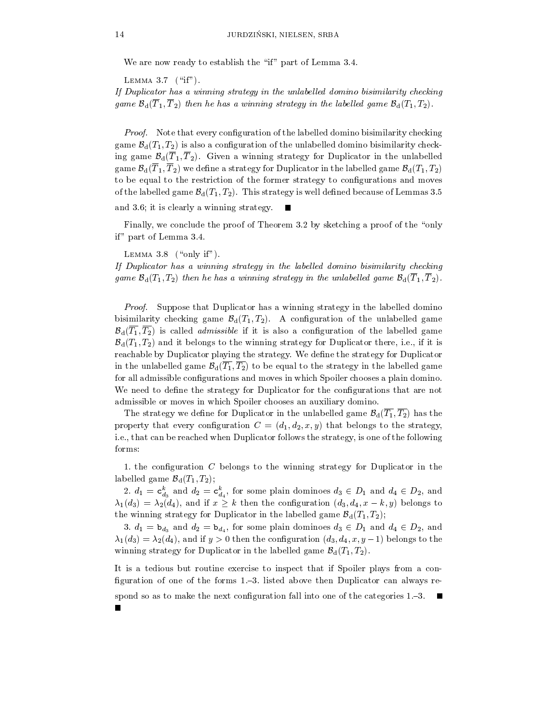We are now ready to establish the "if" part of Lemma 3.4.

LEMMA  $3.7$  ("if").

If Duplicator has a winning strategy in the unlabelled domino bisimilarity checking game  $\mathcal{B}_d(\overline{T}_1, \overline{T}_2)$  then he has a winning strategy in the labelled game  $\mathcal{B}_d(T_1, T_2)$ .

*Proof.* Note that every configuration of the labelled domino bisimilarity checking game  $\mathcal{B}_d(T_1, T_2)$  is also a configuration of the unlabelled domino bisimilarity checking game  $\mathcal{B}_d(\overline{T}_1, \overline{T}_2)$ . Given a winning strategy for Duplicator in the unlabelled game  $\mathcal{B}_d(\overline{T}_1, \overline{T}_2)$  we define a strategy for Duplicator in the labelled game  $\mathcal{B}_d(T_1, T_2)$ to be equal to the restriction of the former strategy to congurations and moves of the labelled game  $\mathcal{B}_d(T_1, T_2)$ . This strategy is well defined because of Lemmas 3.5

and 3.6; it is clearly a winning strategy.

Finally, we conclude the proof of Theorem 3.2 by sketching a proof of the "only if" part of Lemma 3.4.

LEMMA  $3.8$  ("only if").

If Duplicator has a winning strategy in the labelled domino bisimilarity checking game  $\mathcal{B}_d(T_1,T_2)$  then he has a winning strategy in the unlabelled game  $\mathcal{B}_d(\overline{T}_1,\overline{T}_2)$ .

Proof. Suppose that Duplicator has a winning strategy in the labelled domino bisimilarity checking game  $\mathcal{B}_d(T_1, T_2)$ . A configuration of the unlabelled game  $\mathcal{B}_d(\overline{T_1}, \overline{T_2})$  is called *admissible* if it is also a configuration of the labelled game  $\mathcal{B}_d(T_1, T_2)$  and it belongs to the winning strategy for Duplicator there, i.e., if it is reachable by Duplicator playing the strategy. We dene the strategy for Duplicator in the unlabelled game  $\mathcal{B}_d(\overline{T_1}, \overline{T_2})$  to be equal to the strategy in the labelled game for all admissible configurations and moves in which Spoiler chooses a plain domino. We need to define the strategy for Duplicator for the configurations that are not admissible or moves in which Spoiler chooses an auxiliary domino.

The strategy we define for Duplicator in the unlabelled game  $\mathcal{B}_d(\overline{T_1}, \overline{T_2})$  has the property that every configuration  $C = (d_1, d_2, x, y)$  that belongs to the strategy, i.e., that can be reached when Duplicator follows the strategy, is one of the following forms:

1. the configuration  $C$  belongs to the winning strategy for Duplicator in the labelled game  $\mathcal{B}_d(T_1, T_2)$ ;

2.  $a_1 = c_{d_3}$  and  $a_2 = c_{d_4}$ , for some plain dominoes  $a_3 \in D_1$  and  $a_4 \in D_2$ , and  $\lambda_1(d_3) = \lambda_2(d_4)$ , and if  $x \geq k$  then the configuration  $(d_3, d_4, x - k, y)$  belongs to the winning strategy for Duplicator in the labelled game  $\mathcal{B}_d(T_1, T_2)$ ;

3.  $d_1 = \mathbf{b}_{d_3}$  and  $d_2 = \mathbf{b}_{d_4}$ , for some plain dominoes  $d_3 \in D_1$  and  $d_4 \in D_2$ , and  $\lambda_1(d_3) = \lambda_2(d_4)$ , and if  $y > 0$  then the configuration  $(d_3, d_4, x, y-1)$  belongs to the winning strategy for Duplicator in the labelled game  $\mathcal{B}_d(T_1, T_2)$ .

It is a tedious but routine exercise to inspect that if Spoiler plays from a con figuration of one of the forms  $1,-3$ . listed above then Duplicator can always re-

spond so as to make the next configuration fall into one of the categories 1. $-3$ .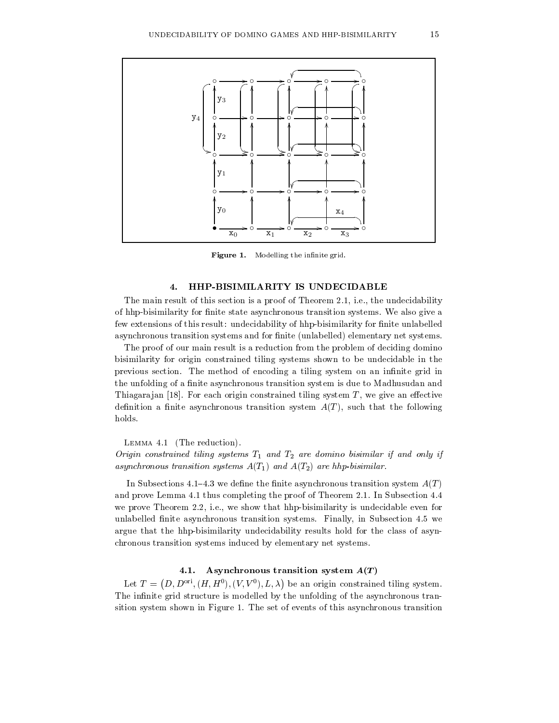

Figure 1. Modelling the innite grid.

# 4. HHP-BISIMILARITY IS UNDECIDABLE

The main result of this section is a proof of Theorem 2.1, i.e., the undecidability of hhp-bisimilarity for finite state asynchronous transition systems. We also give a few extensions of this result: undecidability of hhp-bisimilarity for finite unlabelled asynchronous transition systems and for finite (unlabelled) elementary net systems.

The proof of our main result is a reduction from the problem of deciding domino bisimilarity for origin constrained tiling systems shown to be undecidable in the previous section. The method of encoding a tiling system on an infinite grid in the unfolding of a finite asynchronous transition system is due to Madhusudan and Thiagarajan [18]. For each origin constrained tiling system  $T$ , we give an effective definition a finite asynchronous transition system  $A(T)$ , such that the following holds.

Lemma 4.1 (The reduction).

Origin constrained tiling systems  $T_1$  and  $T_2$  are domino bisimilar if and only if asynchronous transition systems  $A(T_1)$  and  $A(T_2)$  are hhp-bisimilar.

In Subsections 4.1–4.3 we define the finite asynchronous transition system  $A(T)$ and prove Lemma 4.1 thus completing the proof of Theorem 2.1. In Subsection 4.4 we prove Theorem 2.2, i.e., we show that hhp-bisimilarity is undecidable even for unlabelled finite asynchronous transition systems. Finally, in Subsection 4.5 we argue that the hhp-bisimilarity undecidability results hold for the class of asyn chronous transition systems induced by elementary net systems.

# 4.1. Asynchronous transition system  $A(T)$

Let  $T = (D, D^{\text{ori}}, (H, H^0), (V, V^0), L, \lambda)$  be an origin constrained tiling system. The infinite grid structure is modelled by the unfolding of the asynchronous transition system shown in Figure 1. The set of events of this asynchronous transition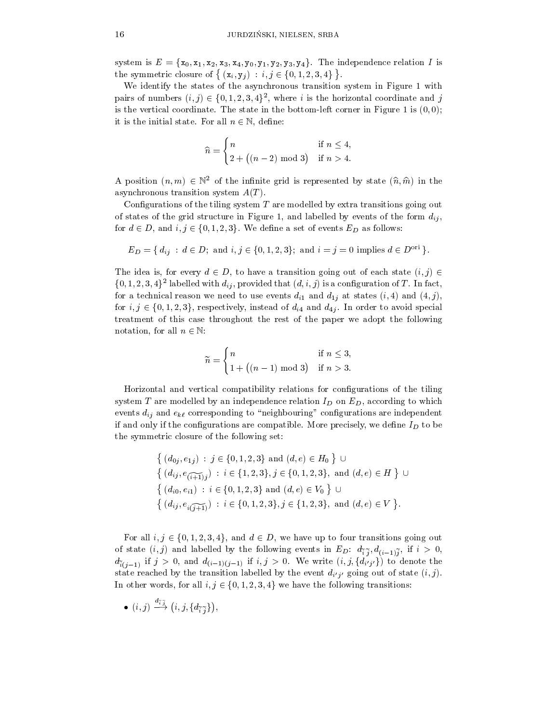system is  $E = \{x_0, x_1, x_2, x_3, x_4, y_0, y_1, y_2, y_3, y_4\}$ . The independence relation I is the symmetric closure of  $\{(\mathbf{x}_i, \mathbf{y}_j) : i, j \in \{0, 1, 2, 3, 4\}\}\.$ 

We identify the states of the asynchronous transition system in Figure 1 with pairs of numbers  $(i, j) \in \{0, 1, 2, 3, 4\}$ , where i is the horizontal coordinate and j is the vertical coordinate. The state in the bottom-left corner in Figure 1 is  $(0,0)$ ;

it is the initial state. For all 
$$
n \in \mathbb{N}
$$
, define:  
\n
$$
\widehat{n} = \begin{cases}\nn & \text{if } n \le 4, \\
2 + ((n - 2) \mod 3) & \text{if } n > 4.\n\end{cases}
$$

A position  $(n, m) \in \mathbb{N}^2$  of the infinite grid is represented by state  $(\hat{n}, \hat{m})$  in the asynchronous transition system  $A(T)$ .

Configurations of the tiling system  $T$  are modelled by extra transitions going out of states of the grid structure in Figure 1, and labelled by events of the form  $d_{ij}$ , for  $d \in D$ , and  $i, j \in \{0, 1, 2, 3\}$ . We define a set of events  $E_D$  as follows:

$$
E_D = \{ d_{ij} : d \in D; \text{ and } i, j \in \{0, 1, 2, 3\}; \text{ and } i = j = 0 \text{ implies } d \in D^{\text{ori}} \}.
$$

The idea is, for every  $d \in D$ , to have a transition going out of each state  $(i, j) \in$  $\{0,1,2,5,4\}^{\perp}$  fabelled with  $a_{ij},$  provided that  $(a,i,j)$  is a comiguration of  $I$  . In fact, for a technical reason we need to use events  $d_{i1}$  and  $d_{1j}$  at states  $(i, 4)$  and  $(4, j)$ , for  $i, j \in \{0, 1, 2, 3\}$ , respectively, instead of  $d_{i4}$  and  $d_{4j}$ . In order to avoid special treatment of this case throughout the rest of the paper we adopt the following

notation, for an 
$$
n \in \mathbb{N}
$$
:

\n
$$
\widetilde{n} = \begin{cases}\n n & \text{if } n \leq 3, \\
 1 + \left( (n - 1) \mod 3 \right) & \text{if } n > 3.\n\end{cases}
$$

Horizontal and vertical compatibility relations for congurations ofthe tiling system  $T$  are modelled by an independence relation  $I_D$  on  $E_D$ , according to which events  $d_{ij}$  and  $e_{k\ell}$  corresponding to "neighbouring" configurations are independent if and only if the configurations are compatible. More precisely, we define  $I_D$  to be the symmetric closure of the following set:

$$
\left\{ (d_{0j}, e_{1j}) : j \in \{0, 1, 2, 3\} \text{ and } (d, e) \in H_0 \right\} \cup \n\left\{ (d_{ij}, e_{\widehat{i+1}j} ) : i \in \{1, 2, 3\}, j \in \{0, 1, 2, 3\}, \text{ and } (d, e) \in H \right\} \cup \n\left\{ (d_{i0}, e_{i1}) : i \in \{0, 1, 2, 3\} \text{ and } (d, e) \in V_0 \right\} \cup \n\left\{ (d_{ij}, e_{\widehat{i}(j+1)}) : i \in \{0, 1, 2, 3\}, j \in \{1, 2, 3\}, \text{ and } (d, e) \in V \right\}.
$$

For all  $i, j \in \{0, 1, 2, 3, 4\}$ , and  $d \in D$ , we have up to four transitions going out  $\langle \; , \; \; \rangle$  and labelled by the following events in ED: definition in ED: definition in ED: definition in ED: definition in ED: definition in ED: definition in ED: definition in ED: definition in ED: definition in ED: d  $d_{\tilde{i}(j-1)}$  if  $j > 0$ , and  $d_{(i-1)(j-1)}$  if  $i, j > 0$ . We write  $(i, j, \{d_{i'j'}\})$  to denote the state reached by the transition labelled by the event  $d_{i'j'}$  going out of state  $(i, j)$ . In other words, for all  $i, j \in \{0, 1, 2, 3, 4\}$  we have the following transitions:

$$
\bullet \ \ (i,j) \stackrel{a_{\widetilde{i}}~\widetilde{j}}{\longrightarrow} \ \big( i,j,\{ d_{\widetilde{i}~\widetilde{j}} \} \big),
$$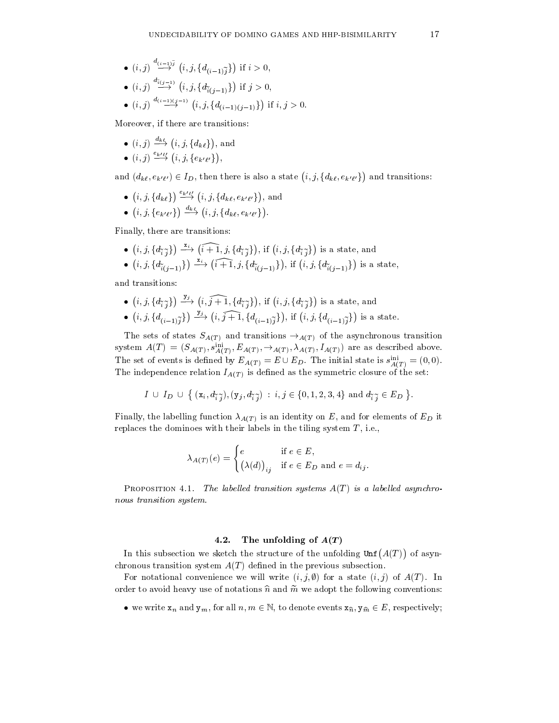- $\bullet$  (i, j)  $\longrightarrow$  (i, j, 3d  $\stackrel{a(i-1)j}{\longrightarrow}$   $(i, j, \{d_{(i-1)}\tilde{i}\})$  if  $i > 0$ , if is a contract of the contract of the contract of the contract of the contract of the contract of the contract of the contract of the contract of the contract of the contract of the contract of the contract of the contra
- $\bullet$   $(i, j) \stackrel{\rightarrow}{\longrightarrow} (i, j, \{d_{\widetilde{i}(j-1)}\})$  if  $j > 0$ , if it is a contract of the contract of the contract of the contract of the contract of the contract of the contract of the contract of the contract of the contract of the contract of the contract of the contract of the co
- $(i, j) \xrightarrow{\alpha(i-1)(j-1)} (i, j, \{d_{(i-1)(j-1)}\})$  if  $i, j > 0$ . is the contract of the contract of the contract of the contract of the contract of the contract of the contract of the contract of the contract of the contract of the contract of the contract of the contract of the contra

Moreover, if there are transitions:

- $\bullet$   $(i, j) \stackrel{a_{k\ell}}{\longrightarrow} (i, j, \{d_{k\ell}\})$ , and , and , and , and , and , and , and , and , and , and , and , and , and , and , and , and , and , and , and , and , and , and , and , and , and , and , and , and , and , and , and , and , and , and , and , and , and , and ,
- $\bullet$   $(i, j) \stackrel{\epsilon_{k'} \ell'}{\longrightarrow} (i, j, \{e_{k'}e^i\}),$  $\mathbf{v}$  and  $\mathbf{v}$  are all the set of the set of the set of the set of the set of the set of the set of the set of the set of the set of the set of the set of the set of the set of the set of the set of the set of the , and the contract of the contract of the contract of the contract of the contract of the contract of the contract of the contract of the contract of the contract of the contract of the contract of the contract of the con

and  $(d_{k\ell}, e_{k'\ell'}) \in I_D$ , then there is also a state  $(i, j, \{d_{k\ell}, e_{k'\ell'}\})$  and transitions:

- $(i, j, \{d_{k\ell}\}) \stackrel{\epsilon_{k'\ell'}}{\longrightarrow} (i, j, \{d_{k\ell}, e_{k'\ell'}\})$ , and , and , and , and , and , and , and , and , and , and , and , and , and , and , and , and , and , and , and , and , and , and , and , and , and , and , and , and , and , and , and , and , and , and , and , and , and , and ,
- $\bullet$  (*l*, *l*,  $\uparrow$  *e*<sub>k'f'</sub>}  $\rightarrow$  $(i, j, \{e_{k'\ell'}\}) \stackrel{a_{k\ell}}{\longrightarrow} (i, j, \{d_{k\ell}, e_{k'\ell'}\})$ e a company and the company of the company of the company of the company of the company of the company of the company of the company of the company of the company of the company of the company of the company of the company

Finally, there are transitions:

- $\bullet$  (*l*, *l*, *l*  $a$ <sub>7</sub>  $\rightarrow$  l  $(i, j, \{d_{\widetilde{i}, \widetilde{j}}\}) \stackrel{x_i}{\longrightarrow} (i + \overline{1}, j, \{d_{\widetilde{i}, \widetilde{j}}\}),$  if  $(i, j, \{d_{\widetilde{i}, \widetilde{j}}\})$  is a  $(i + \overline{1}, j, \{d_{\widetilde{i}, \widetilde{j}}\})$ , if  $(i, j, \{d_{\widetilde{i}, \widetilde{j}}\})$  is a state, and is a state, and the state, and the state, and the state, and the state, and the state, and the state, and the
- $\bullet$  (*l*, *l*, *l*, *l*(*l*, *l*, *l*) =  $(i, j, \{d_{\tilde{i}(j-1)}\}) \stackrel{\mathbf{x}_i}{\longrightarrow} (\tilde{i}+1, j, \{d_{\tilde{i}(j-1)}\})$ , if  $(i, j, \{d_{\tilde{i}(j-1)}\})$  $(i + 1, j, \{d_{\tilde{i}(j-1)}\})$ , if  $(i, j, \{d_{\tilde{i}(j-1)}\})$  is a state, is a state, when the state of the state of the state of the state of the state of the state of the state of th

and transitions:

- $\bullet$  (*l*, *l*,  $\uparrow$  *l*( $\downarrow$   $\uparrow$  )  $\downarrow$  $(i, j, \{d_{\tilde{i}, \tilde{j}}\}) \stackrel{j_3}{\longrightarrow} (i, \tilde{j} + \tilde{1}, \{d_{\tilde{i}, \tilde{j}}\}),$  if  $(i, j, \{d_{\tilde{i}, \tilde{j}}\})$  is a  $(i, \tilde{j} + \tilde{1}, \{d_{\tilde{i}, \tilde{j}}\}),$  if  $(i, j, \{d_{\tilde{i}, \tilde{j}}\})$  is a state, and is a state, and the state, and the state, and the state of the state, and the state of the state of the state
- $\bullet$  (*t*, *t*, *t*, *d<sub>t</sub>*, **.**,  $\sim$  *r*)  $\sim$  $(i, j, \{d_{(i-1)\tilde{j}}\}) \stackrel{ij}{\longrightarrow} (i, \tilde{j}+\tilde{1}, \{d_{(i-1)\tilde{j}}\}),$  if  $(i, j, \{d_{(i-1)\tilde{j}}\})$  $(i, \tilde{j} + \tilde{1}, \{d_{(i-1)\tilde{j}}\}),$  if  $(i, j, \{d_{(i-1)\tilde{j}}\})$  is a state.

The sets of states  $S_{A(T)}$  and transitions  $\rightarrow_{A(T)}$  of the asynchronous transition system  $A(T) = (S_{A(T)}, S_{A(T)}^T, E_{A(T)}, \rightarrow_{A(T)}, A_{A(T)}, I_{A(T)})$  are as described above. The set of events is defined by  $E_{A(T)} = E \cup E_D$ . The initial state is  $s_{\overline{A(T)}}^{\perp} = (0,0)$ . The independence relation  $I_{A(T)}$  is defined as the symmetric closure of the set:

 $I \cup I_D \cup \{ (\mathbf{x}_i, d_{\widetilde{i}, \widetilde{j}}), (\mathbf{y}_j, d_{\widetilde{i}, \widetilde{j}}) : i, j \in \{0, 1, 2, 3, 4\} \text{ and } d_{\widetilde{i}, \widetilde{j}} \in E_D \}.$  $\mathbf{A}$  and  $\mathbf{A}$  are the set of  $\mathbf{A}$  and  $\mathbf{A}$  are the set of  $\mathbf{A}$  and  $\mathbf{A}$  are the set of  $\mathbf{A}$ 

Finally, the labelling function  $\lambda_{A(T)}$  is an identity on E, and for elements of E<sub>D</sub> it replaces the dominoes with their labels in the tiling system  $T$ , i.e.,

$$
\lambda_{A(T)}(e) = \begin{cases} e & \text{if } e \in E, \\ \big(\lambda(d)\big)_{ij} & \text{if } e \in E_D \text{ and } e = d_{ij}. \end{cases}
$$

PROPOSITION 4.1. The labelled transition systems  $A(T)$  is a labelled asynchronous transition system.

# 4.2. The unfolding of  $A(T)$

In this subsection we sketch the structure of the unfolding  $\text{Unf}(A(T))$  of asynchronous transition system  $A(T)$  defined in the previous subsection.

For notational convenience we will write  $(i, j, \emptyset)$  for a state  $(i, j)$  of  $A(T)$ . In order to avoid heavy use of notations  $\hat{n}$  and  $\tilde{m}$  we adopt the following conventions:

 $\bullet$  we write  $\mathbf{x}_n$  and  $\mathbf{y}_m$ , for all  $n,m\in \mathbb{N},$  to denote events  $\mathbf{x}_{\widehat{n}}, \mathbf{y}_{\widehat{m}}\in E$  , respectively;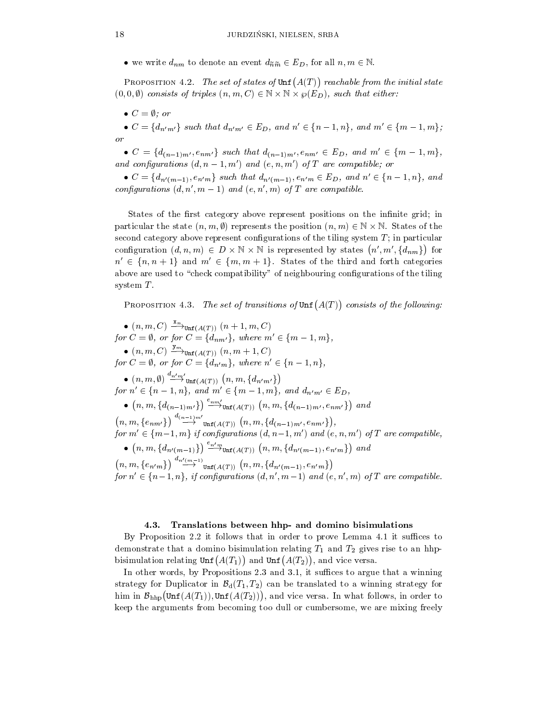• we write  $a_{nm}$  to denote an event  $a_{\widetilde{n}\widetilde{m}} \in E_D$ , for all  $n,m \in \mathbb{N}$ .

PROPOSITION 4.2. The set of states of  $\text{Unf}(A(T))$  reachable from the initial state  $(0, 0, \emptyset)$  consists of triples  $(n, m, C) \in \mathbb{N} \times \mathbb{N} \times \wp(E_D)$ , such that either:

 $\bullet$   $\circ$   $\equiv$   $\vee$ : or

 $\bullet$   $C = \{a_{n'm'}\}\$  such that  $a_{n'm'} \in E_D$ , and  $n \in \{n-1, n\}\$ , and  $m \in \{m-1, m\}\$ ;

 $\bullet$   $C = \{d_{(n-1)m'}, e_{nm'}\}$  such that  $d_{(n-1)m'}, e_{nm'} \in E_D$ , and  $m' \in \{m-1, m\}$ , and configurations  $(d, n-1, m')$  and  $(e, n, m')$  of T are compatible; or

 $\bullet$   $C = \{a_{n'(m-1)}, e_{n'm}\}\$  such that  $a_{n'(m-1)}, e_{n'm} \in E_D$ , and  $n \in \{n-1, n\}\$ , and configurations  $(d, n', m - 1)$  and  $(e, n', m)$  of T are compatible.

States of the first category above represent positions on the infinite grid; in particular the state  $(n, m, y)$  represents the position  $(n, m) \in \mathbb{N} \times \mathbb{N}$ . States of the second category above represent configurations of the tiling system  $T$ ; in particular configuration  $(d, n, m) \in D \times \mathbb{N} \times \mathbb{N}$  is represented by states  $(n', m', \{d_{nm}\})$  for  $n' \in \{n, n + 1\}$  and  $m' \in \{m, m + 1\}$ . States of the third and forth categories above are used to "check compatibility" of neighbouring configurations of the tiling system  $T$ .

PROPOSITION 4.3. The set of transitions of  $\text{Unf}(A(T))$  consists of the following:

 $\bullet$   $(n, m, C) \xrightarrow{m}$ <sub>Unf</sub>( $A(T)$ )  $(n + 1, m, C)$ for  $C = \emptyset$ , or for  $C = \{d_{nm'}\}$ , where  $m' \in \{m-1, m\}$ ,  $\bullet$   $(n, m, C) \stackrel{\cdot \dots}{\longrightarrow}_{\text{Unf}(A(T))} (n, m+1, C)$ for  $C = \emptyset$ , or for  $C = \{d_{n'm}\}\$ , where  $n' \in \{n-1, n\}\$ ,  $\bullet$   $(n, m, \emptyset) \stackrel{a_{n'm'}}{\longrightarrow} \text{Unf}(A(T))$   $(n, m, \{d_{n'm'}\})$ for  $n \in \{n-1, n\}$ , and  $m \in \{m-1, m\}$ , and  $a_{n'm'} \in E_D$ , •  $(n, m, \{d_{(n-1)m'}\}) \stackrel{\sim}{\longrightarrow}_{\text{Unf}(A(T))} (n, m, \{d_{(n-1)m'}, e_{nm'}\})$  and  $(n, m, \{e_{nm'}\}) \stackrel{m(n-1)m'}{\longrightarrow} \text{Unf}(A(T))$   $(n, m, \{d_{(n-1)m'}, e_{nm'}\}),$ , for  $m' \in \{m-1, m\}$  if configurations  $(d, n-1, m')$  and  $(e, n, m')$  of T are compatible, •  $(n, m, \{d_{n'(m-1)}\}) \stackrel{\epsilon_{n'm}}{\longrightarrow}_{\text{Unf}(A(T))} (n, m, \{d_{n'(m-1)}, e_{n'm}\})$  and  $(n, m, \{e_{n'm}\}) \stackrel{u_{n'(m-1)}}{\longrightarrow}$   $\text{Unf}(A(T))$   $(n, m, \{d_{n'(m-1)}, e_{n'm}\})$  $\mathbf{v}$  and  $\mathbf{v}$  are all the set of the set of the set of the set of the set of the set of the set of the set of the set of the set of the set of the set of the set of the set of the set of the set of the set of the for  $n' \in \{n-1, n\}$ , if configurations  $(d, n', m-1)$  and  $(e, n', m)$  of T are compatible.

#### 4.3. Translations between hhp- and domino bisimulations

By Proposition 2.2 it follows that in order to prove Lemma 4.1 it suffices to demonstrate that a domino bisimulation relating  $T_1$  and  $T_2$  gives rise to an hhpbisimulation relating  $\text{Unf}(A(T_1))$  and  $\text{Unf}(A(T_2))$ , and vice versa.

In other words, by Propositions 2.3 and 3.1, it suffices to argue that a winning strategy for Duplicator in  $\mathcal{B}_d(T_1, T_2)$  can be translated to a winning strategy for him in  $\mathcal{B}_{\text{hhp}}(\text{Unf}(A(T_1)), \text{Unf}(A(T_2))),$  and vice versa. In what follows, in order to keep the arguments from becoming too dull or cumbersome, we are mixing freely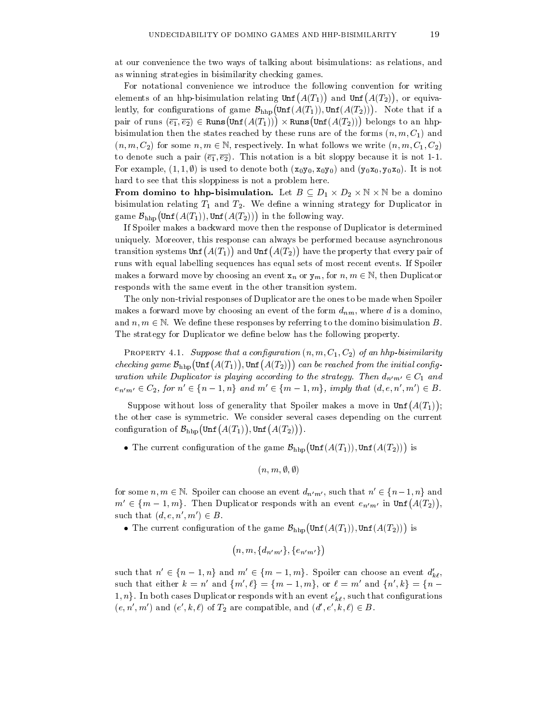at our convenience the two ways of talking about bisimulations: as relations, and as winning strategies in bisimilarity checking games.

For notational convenience we introduce the following convention for writing elements of an hhp-bisimulation relating  $\text{Unf}(A(T_1))$  and  $\text{Unf}(A(T_2))$ , or equivalently, for configurations of game  $\mathcal{B}_{\text{hho}}(\text{Unf}(A(T_1)), \text{Unf}(A(T_2)))$ . Note that if a pair of runs  $(\overline{e_1}, \overline{e_2}) \in \text{Runs}(\text{Unf}(A(T_1))) \times \text{Runs}(\text{Unf}(A(T_2)))$  belongs to an hhpbisimulation then the states reached by these runs are of the forms  $(n, m, C_1)$  and  $(n, m, C_2)$  for some  $n, m \in \mathbb{N}$ , respectively. In what follows we write  $(n, m, C_1, C_2)$ to denote such a pair  $(\overline{e_1}, \overline{e_2})$ . This notation is a bit sloppy because it is not 1-1. For example,  $(1,1,\emptyset)$  is used to denote both  $(x_0y_0, x_0y_0)$  and  $(y_0x_0, y_0x_0)$ . It is not hard to see that this sloppiness is not a problem here.

**From domino to hnp-bisimulation.** Let  $B\subseteq D_1\times D_2\times \mathbb{N}\times \mathbb{N}$  be a domino bisimulation relating  $T_1$  and  $T_2$ . We define a winning strategy for Duplicator in game  $\mathcal{B}_{\text{hhn}}(\text{Unf}(A(T_1)), \text{Unf}(A(T_2)))$  in the following way.

If Spoiler makes a backward move then theresponse of Duplicator is determined uniquely. Moreover, this response can always be performed because asynchronous transition systems  $\text{Unf}(A(T_1))$  and  $\text{Unf}(A(T_2))$  have the property that every pair of runs with equal labelling sequences has equal sets of most recent events. If Spoiler makes a forward move by choosing an event  $x_n$  or  $y_m$ , for  $n, m \in \mathbb{N}$ , then Duplicator responds with the same event in the other transition system.

The only non-trivial responses of Duplicator are the ones to be made when Spoiler makes a forward move by choosing an event of the form  $d_{nm}$ , where d is a domino, and  $n, m \in \mathbb{N}$ . We define these responses by referring to the domino bisimulation B. The strategy for Duplicator we define below has the following property.

**PROPERTY** 4.1. Suppose that a configuration  $(n, m, C_1, C_2)$  of an hhp-bisimilarity checking game  $\mathcal{B}_{\text{hhp}}(\text{Unf}(A(T_1)), \text{Unf}(A(T_2)))$  can be reached from the initial configuration while Duplicator is playing according to the strategy. Then  $d_{n'm'} \in C_1$  and  $e_{n'm'} \in C_2$ , for  $n' \in \{n - 1, n\}$  and  $m' \in \{m - 1, m\}$ , imply that  $(d, e, n', m') \in B$ .

Suppose without loss of generality that Spoiler makes a move in  $\text{Unf}(A(T_1))$ ;  $\mathcal{L}$  is the contract of the contract of the contract of the contract of the contract of the contract of the contract of the contract of the contract of the contract of the contract of the contract of the contract of t the other case is symmetric. We consider several cases depending on the current configuration of  $\mathcal{B}_{\text{hhp}}(\text{Unf}(A(T_1)), \text{Unf}(A(T_2)))$ .

• The current configuration of the game  $\mathcal{B}_{\text{hho}}(\text{Unf}(A(T_1)), \text{Unf}(A(T_2)))$  is

```
(n, m, \emptyset, \emptyset)
```
for some  $n, m \in \mathbb{N}$ . Spoiler can choose an event  $d_{n'm'}$ , such that  $n' \in \{n-1, n\}$  and  $m' \in \{m-1, m\}$ . Then Duplicator responds with an event  $e_{n'm'}$  in  $\text{Unf}(A(T_2)),$ , such that  $(d, e, n', m') \in B$ .

• The current configuration of the game  $\mathcal{B}_{\text{hho}}(\text{Unf}(A(T_1)), \text{Unf}(A(T_2)))$  is

$$
(n,m,\{d_{\bm{n}'\bm{m}'}\},\{e_{\bm{n}'\bm{m}'}\})
$$

such that  $n' \in \{n - 1, n\}$  and  $m' \in \{m - 1, m\}$ . Spoiler can choose an event  $d'_{k\ell}$ , such that either  $k = n'$  and  $\{m', \ell\} = \{m - 1, m\}$ , or  $\ell = m'$  and  $\{n', k\} = \{n - 1, m\}$ 1,  $n_f$ . In both cases Duplicator responds with an event  $e_{k\ell},$  such that configurations  $(e, n, m)$  and  $(e, \kappa, \ell)$  of  $T_2$  are compatible, and  $(a, e, \kappa, \ell) \in B$ .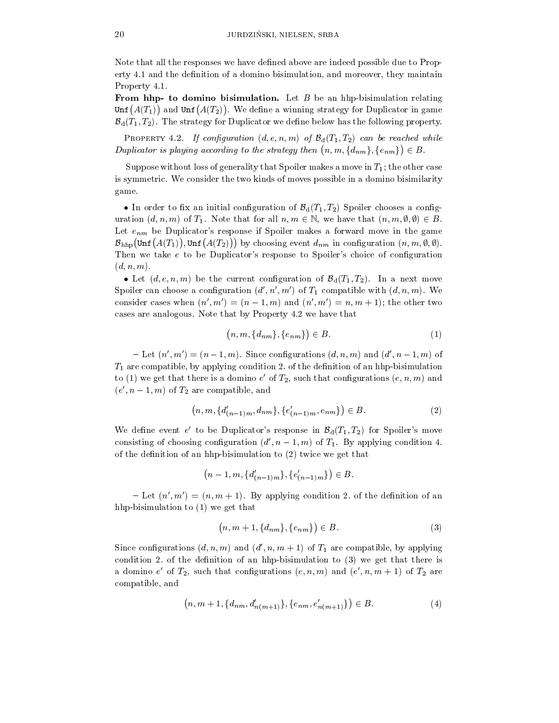Note that all the responses we have defined above are indeed possible due to Property 4.1 and the definition of a domino bisimulation, and moreover, they maintain Property 4.1.

From hhp- to domino bisimulation. Let  $B$  be an hhp-bisimulation relating  $\texttt{Unf}(A(T_1))$  and  $\texttt{Unf}(A(T_2))$ . We define a winning strategy for Duplicator in game  $\mathcal{B}_d(T_1, T_2)$ . The strategy for Duplicator we define below has the following property.

PROPERTY 4.2. If configuration  $(d, e, n, m)$  of  $\mathcal{B}_d(T_1, T_2)$  can be reached while Duplicator is playing according to the strategy then  $(n, m, \{d_{nm}\}, \{e_{nm}\}) \in B$ .

Suppose without loss of generality that Spoiler makes a move in  $T_1$ ; the other case is symmetric. We consider the two kinds of moves possible in a domino bisimilarity game.

 $\bullet$  in order to fix an initial configuration of  $\mathcal{D}_d(1_1, 1_2)$  spoiler chooses a configuration  $(d, n, m)$  of  $T_1$ . Note that for all  $n, m \in \mathbb{N}$ , we have that  $(n, m, \emptyset, \emptyset) \in B$ . Let  $e_{nm}$  be Duplicator's response if Spoiler makes a forward move in the game  $\mathcal{B}_{\text{hhp}}(\text{Unf}(A(T_1)), \text{Unf}(A(T_2)))$  by choosing event  $d_{nm}$  in configuration  $(n, m, \emptyset, \emptyset)$ . Then we take  $e$  to be Duplicator's response to Spoiler's choice of configuration  $(d, n, m)$ .

• Let  $(a, e, n, m)$  be the current configuration of  $D_{d}(T_1, T_2)$ . In a next move Spoiler can choose a configuration  $(d', n', m')$  of  $T_1$  compatible with  $(d, n, m)$ . We consider cases when  $(n', m') = (n - 1, m)$  and  $(n', m') = n, m + 1$ ; the other two cases are analogous. Note that by Property 4.2 we have that

$$
(n, m, \{d_{nm}\}, \{e_{nm}\}) \in B. \tag{1}
$$

 ${\cal L} =$  Let  $(n', m') = (n - 1, m)$ . Since configurations  $(d, n, m)$  and  $(d', n - 1, m)$  of  $T_1$  are compatible, by applying condition 2. of the definition of an hhp-bisimulation to (1) we get that there is a domino  $e$  of  $T_2$ , such that configurations  $(e, n, m)$  and  $(e_1, n-1, m)$  of  $T_2$  are compatible, and

$$
(n, m, \{d'_{(n-1)m}, d_{nm}\}, \{e'_{(n-1)m}, e_{nm}\}) \in B. \tag{2}
$$

We define event e' to be Duplicator's response in  $\mathcal{B}_d(T_1,T_2)$  for Spoiler's move consisting of choosing configuration  $(d', n-1, m)$  of  $T_1$ . By applying condition 4. of the definition of an hhp-bisimulation to  $(2)$  twice we get that

$$
(n-1, m, \{d'_{(n-1)m}\}, \{e'_{(n-1)m}\}) \in B.
$$

- Let  $(n', m') = (n, m + 1)$ . By applying condition 2. of the definition of an hhp-bisimulation to (1) we get that

$$
(n, m+1, \{d_{nm}\}, \{e_{nm}\}) \in B. \tag{3}
$$

Since configurations  $(d, n, m)$  and  $(d', n, m + 1)$  of  $T_1$  are compatible, by applying condition 2. of the definition of an hhp-bisimulation to  $(3)$  we get that there is a domino  $e$  of  $I_2$ , such that configurations  $(e, n, m)$  and  $(e, n, m+1)$  of  $I_2$  are compatible, and

$$
(n, m+1, \{d_{nm}, d'_{n(m+1)}\}, \{e_{nm}, e'_{n(m+1)}\}) \in B. \tag{4}
$$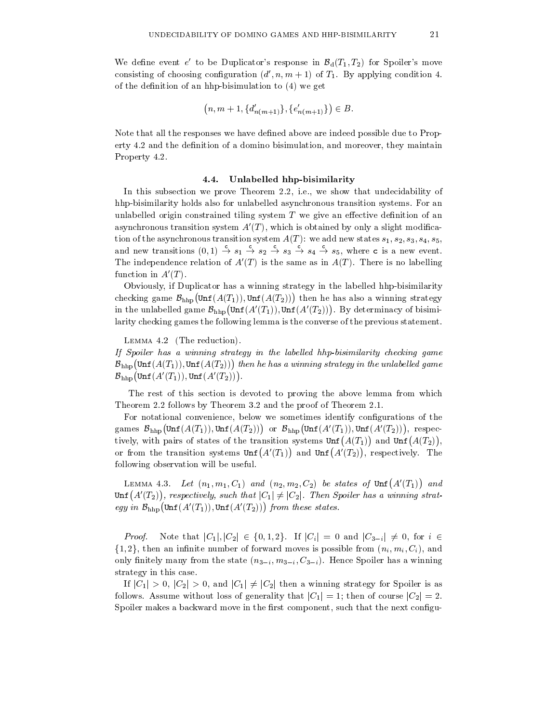We define event e' to be Duplicator's response in  $\mathcal{B}_d(T_1,T_2)$  for Spoiler's move consisting of choosing configuration  $(d', n, m + 1)$  of  $T_1$ . By applying condition 4. of the definition of an hhp-bisimulation to  $(4)$  we get

$$
(n, m+1, \{d'_{n(m+1)}\}, \{e'_{n(m+1)}\}) \in B.
$$

Note that all the responses we have defined above are indeed possible due to Property 4.2 and the definition of a domino bisimulation, and moreover, they maintain Property 4.2.

# 4.4. Unlabelled hhp-bisimilarity

In this subsection we prove Theorem 2.2, i.e., we show that undecidability of hhp-bisimilarity holds also for unlabelled asynchronous transition systems. For an unlabelled origin constrained tiling system  $T$  we give an effective definition of an asynchronous transition system  $A'(T)$ , which is obtained by only a slight modification of the asynchronous transition system  $A(T)$ : we add new states  $s_1, s_2, s_3, s_4, s_5$ , and new transitions  $(0,1) \rightarrow s_1 \rightarrow s_2 \rightarrow s_3 \rightarrow s_4 \rightarrow s_5$ , where c is a new event. The independence relation of  $A'(T)$  is the same as in  $A(T)$ . There is no labelling function in  $A'(T)$ .

Obviously, if Duplicator has a winning strategy in the labelled hhp-bisimilarity checking game  $\mathcal{B}_{\text{hhp}}(\text{Unf}(A(T_1)), \text{Unf}(A(T_2)))$  then he has also a winning strategy in the unlabelled game  $\mathcal{B}_{\text{hhp}}(\text{Unf}(A'(T_1))), \text{Unf}(A'(T_2)))$ . By determinacy of bisimilarity checking games the following lemma is the converse of the previous statement.

Lemma 4.2 (The reduction).

If Spoiler has a winning strategy in the labelled hhp-bisimilarity checking game  $\mathcal{B}_{\text{hhn}}(\text{Unf}(A(T_1)), \text{Unf}(A(T_2)))$  then he has a winning strategy in the unlabelled game  $\mathcal{B}_{\text{hhp}}\big(\text{\rm Unf}\,(A'(T_1)), \text{\rm Unf}\,(A'(T_2))\big)$ .

The rest of this section is devoted to proving the above lemma from which Theorem 2.2 follows by Theorem 3.2 and the proof of Theorem 2.1.

For notational convenience, below we sometimes identify configurations of the games  $\mathcal{B}_{\text{hhp}}(\text{Unf}(A(T_1)), \text{Unf}(A(T_2)))$  or  $\mathcal{B}_{\text{hhp}}(\text{Unf}(A'(T_1)), \text{Unf}(A'(T_2)))$ , respectively, with pairs of states of the transition systems  $\text{Unf}(A(T_1))$  and  $\text{Unf}(A(T_2))$ , , and the contract of the contract of the contract of the contract of the contract of the contract of the contract of the contract of the contract of the contract of the contract of the contract of the contract of the con or from the transition systems  $\text{Unf}(A'(T_1))$  and  $\text{Unf}(A'(T_2))$ , respectively. The following observation will be useful.

LEMMA 4.3. Let  $(n_1, m_1, C_1)$  and  $(n_2, m_2, C_2)$  be states of Unf $(A'(T_1))$  and  $\text{Unf}(A'(T_2))$ , respectively, such that  $|C_1|\neq |C_2|$ . Then Spoiler has a winning strategy in  $\mathcal{B}_{\text{hhn}}(\text{Unf}(A'(T_1)), \text{Unf}(A'(T_2)))$  from these states.

*Proof.* Note that  $|C_1|, |C_2| \in \{0, 1, 2\}$ . If  $|C_i| = 0$  and  $|C_{3-i}| \neq 0$ , for  $i \in$  $\{1,2\}$ , then an infinite number of forward moves is possible from  $(n_i, m_i, C_i)$ , and only finitely many from the state  $(n_{3-i}, m_{3-i}, C_{3-i})$ . Hence Spoiler has a winning

strategy in this case.<br>If  $|C_1| > 0$ ,  $|C_2| > 0$ , and  $|C_1| \neq |C_2|$  then a winning strategy for Spoiler is as follows. Assume without loss of generality that  $|C_1|=1$ ; then of course  $|C_2|=2$ . Spoiler makes a backward move in the first component, such that the next configu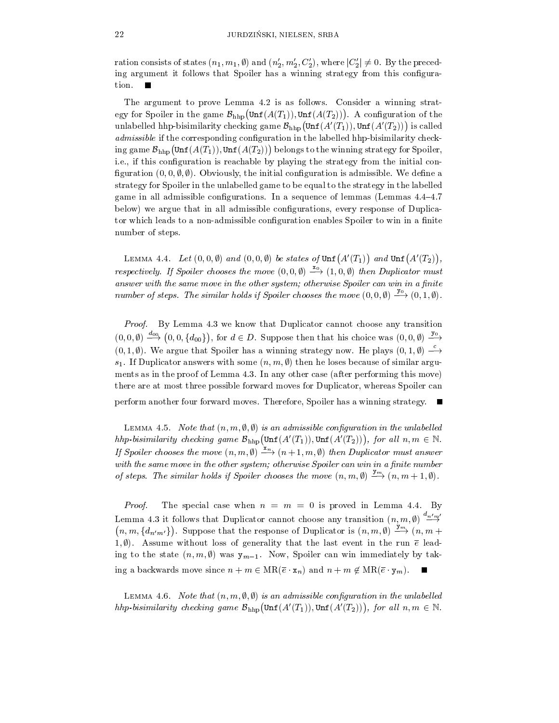ration consists of states  $(n_1, m_1, \emptyset)$  and  $(n'_2, m'_2, C'_2)$ , where  $|C'_2| \neq 0$ . By the preceding argument it follows that Spoiler has a winning strategy from this configuration.

The argument to prove Lemma 4.2 is as follows. Consider a winning strategy for Spoiler in the game  $\mathcal{B}_{\text{hho}}(\text{Unf}(A(T_1)), \text{Unf}(A(T_2)))$ . A configuration of the unlabelled hhp-bisimilarity checking game  $\mathcal{B}_{\text{hho}}(\text{Unf}(A'(T_1)), \text{Unf}(A'(T_2)))$  is called admissible if the corresponding configuration in the labelled hhp-bisimilarity checking game  $\mathcal{B}_{\text{hhp}}(\text{Unf}(A(T_1)), \text{Unf}(A(T_2)))$  belongs to the winning strategy for Spoiler, i.e., if this configuration is reachable by playing the strategy from the initial configuration  $(0, 0, \emptyset, \emptyset)$ . Obviously, the initial configuration is admissible. We define a strategy for Spoiler in theunlabelled game to be equalto the strategy in the labelled game in all admissible configurations. In a sequence of lemmas (Lemmas  $4.4{\text -}4.7$ ) below) we argue that in all admissible configurations, every response of Duplicator which leads to a non-admissible configuration enables Spoiler to win in a finite number of steps.

LEMMA 4.4. Let  $(0,0,\emptyset)$  and  $(0,0,\emptyset)$  be states of  $\text{Unf}(A'(T_1))$  and  $\text{Unf}(A'(T_2))$ , , respectively. If Spoiler chooses the move  $(0,0,0) \rightarrow (1,0,0)$  then Duplicator must answer with the same move in the other system; otherwise Spoiler can win in a finite number of steps. The similar holds if Spoiler chooses the move  $(0,0,0) \stackrel{\rightarrow}{\rightarrow} (0,1,0)$ .

Proof. By Lemma 4.3 we know that Duplicator cannot choose any transition  $(0,0,\emptyset) \stackrel{d\oplus 0}{\longrightarrow} (0,0,\lbrace d_{00}\rbrace)$ , for  $d \in D$ . Suppose then that his choice was  $(0,0,\emptyset) \stackrel{d\oplus 0}{\longrightarrow}$  $(0,1,\emptyset)$ . We argue that Spoiler has a winning strategy now. He plays  $(0,1,\emptyset) \longrightarrow$  $s_1$ . If Duplicator answers with some  $(n, m, \emptyset)$  then he loses because of similar arguments as in the proof of Lemma 4.3. In any other case (after performing this move) there are at most three possible forward moves for Duplicator, whereas Spoiler can perform another four forward moves. Therefore, Spoiler has a winning strategy.

LEMMA 4.5. Note that  $(n, m, \emptyset, \emptyset)$  is an admissible configuration in the unlabelled hhp-bisimilarity checking game  $\mathcal{B}_{\text{hho}}(\text{Unf}(A'(T_1)), \text{Unf}(A'(T_2))),$  for all  $n, m \in \mathbb{N}$ . If Spoiler chooses the move  $(n, m, \emptyset) \stackrel{-n}{\longrightarrow} (n + 1, m, \emptyset)$  then Duplicator must answer with the same move in the other system; otherwise Spoiler can win in a finite number of steps. The similar holds if Spoiler chooses the move  $(n, m, \emptyset) \longrightarrow (n, m + 1, \emptyset)$ .

*Proof.* The special case when  $n = m = 0$  is proved in Lemma 4.4. By Lemma 4.3 it follows that Duplicator cannot choose any transition  $(n, m, \emptyset) \stackrel{\sim m}{\longrightarrow}$  $n, m, \{d_{n'm'}\}\}\$ . Suppose that the response of Duplicator is  $(n, m, \emptyset) \longrightarrow_{n \to \infty} (n, m + \emptyset)$ 1,  $\emptyset$ ). Assume without loss of generality that the last event in the run  $\bar{e}$  leading to the state  $(n, m, \emptyset)$  was  $y_{m-1}$ . Now, Spoiler can win immediately by taking a backwards move since  $n + m \in MR(\overline{e} \cdot x_n)$  and  $n + m \notin MR(\overline{e} \cdot y_m)$ .

LEMMA 4.6. Note that  $(n, m, \emptyset, \emptyset)$  is an admissible configuration in the unlabelled hhp-bisimilarity checking game  $\mathcal{B}_{\text{hhn}}(\text{Unf}(A'(T_1)), \text{Unf}(A'(T_2))),$  for all  $n, m \in \mathbb{N}$ .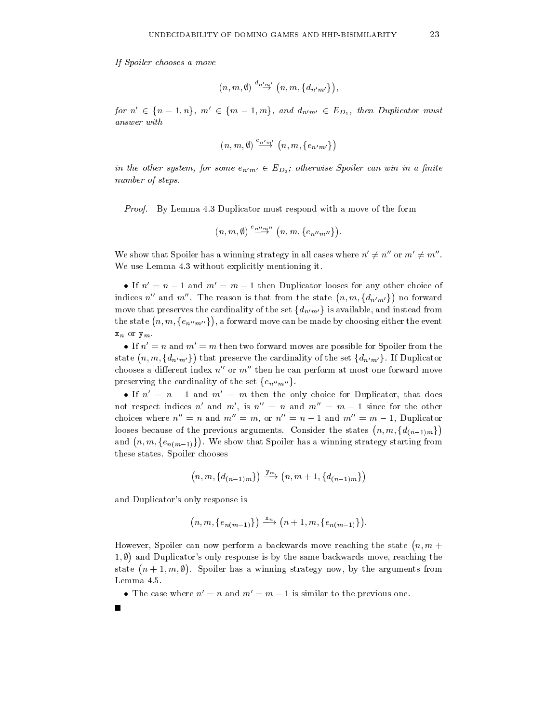If Spoiler chooses a move

$$
(n,m,\emptyset) \stackrel{d_{n^{\prime}m^{\prime}}}{\longrightarrow} (n,m,\{d_{n^{\prime}m^{\prime}}\}),
$$

for  $n' \in \{n-1, n\}$ ,  $m' \in \{m-1, m\}$ , and  $d_{n'm'} \in E_{D_1}$ , then Duplicator must answer with

$$
(n,m,\emptyset) \stackrel{e_{n'm'}}{\longrightarrow} (n,m,\{e_{n'm'}\})
$$

in the other system, for some  $e_{n'm'} \in E_{D_2}$ ; otherwise Spoiler can win in a finite number of steps.

Proof. By Lemma 4.3 Duplicator must respond with a move of the form

 $\mathbb{R}$ 

$$
(n,m,\emptyset) \stackrel{e_{n^{\prime\prime}m^{\prime\prime}}}{\longrightarrow} (n,m,\{e_{n^{\prime\prime}m^{\prime\prime}}\}).
$$

We show that Spoiler has a winning strategy in all cases where  $n' \neq n''$  or  $m' \neq m''$ . We use Lemma 4.3 without explicitly mentioning it.

 $\bullet$  If  $n = n - 1$  and  $m = m - 1$  then Duplicator looses for any other choice of indices n'' and m''. The reason is that from the state  $(n, m, \{d_{n'm'}\})$  no forward move that preserves the cardinality of the set  $\{d_{n'm'}\}$  is available, and instead from the state  $(n, m, \{e_{n^{\prime\prime}m^{\prime\prime}}\})$ , a forward move , a forward move can be made by contract move can be made by choosing either the event of  $\mathbf{f}(\mathbf{A})$  $x_n$  or  $y_m$ .

 $\bullet$  If  $n=n$  and  $m=m$  then two forward moves are possible for Spoiler from the state  $(n, m, \{d_{n'm'}\})$  that preserve the cardinality of the set  $\{d_{n'm'}\}$ . If Duplicator chooses a different index  $n''$  or  $m''$  then he can perform at most one forward move preserving the cardinality of the set  $\{e_{n^{\prime\prime}m^{\prime\prime}}\}.$ 

 $\bullet$  If  $n=n-1$  and  $m_1=m$  then the only choice for Duplicator, that does not respect indices n' and m', is  $n'' = n$  and  $m'' = m - 1$  since for the other choices where  $n'' = n$  and  $m'' = m$ , or  $n'' = n - 1$  and  $m'' = m - 1$ , Duplicator looses because of the previous arguments. Consider the states  $(n, m, \{d_{(n-1)m}\})$  $\mathbf{v}$  and  $\mathbf{v}$  are all  $\mathbf{v}$  and  $\mathbf{v}$  are all  $\mathbf{v}$  and  $\mathbf{v}$  are all  $\mathbf{v}$  and  $\mathbf{v}$  are all  $\mathbf{v}$  and  $\mathbf{v}$  are all  $\mathbf{v}$  and  $\mathbf{v}$  are all  $\mathbf{v}$  and  $\mathbf{v}$  are all  $\mathbf{v}$  an and  $(n, m, \{e_{n(m-1)}\})$ . We show that S . We show that Spoiler has a winning strategy strategy strategy strategy strategy strategy strategy strategy strategy strategy strategy strategy strategy strategy strategy strategy strategy strategy strategy strategy stra these states. Spoiler chooses

$$
(n,m,\{d_{(n-1)m}\})\stackrel{{\tt J}{m}}{\longrightarrow}(n,m+1,\{d_{(n-1)m}\})
$$

and Duplicator's only response is

$$
(n, m, \{e_{n(m-1)}\}) \stackrel{\mathbf{x}_n}{\longrightarrow} (n+1, m, \{e_{n(m-1)}\}).
$$

However, Spoiler can now perform a backwards move reaching the state  $(n, m + 1)$ 1. $\emptyset$ ) and Duplicator's only response is by the same backwards move, reaching the state  $(n + 1, m, \emptyset)$ . Spoiler has a win . Spoiler has a winning strategy now, by the arguments from the arguments from the arguments from the arguments from the arguments from the arguments from the arguments from the arguments from the arguments from the argum Lemma 4.5.

 $\bullet$  1 ne case where  $n\,=\,n$  and  $m\,=\,m-1$  is similar to the previous one.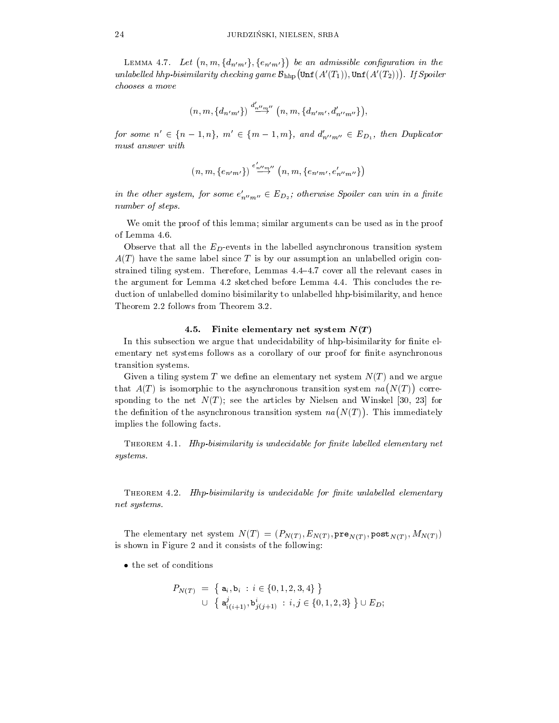LEMMA 4.7. Let  $(n, m, \{d_{n'm'}\}, \{e_{n'm'}\})$  be an admissible be an admissible control construction in the control of the control of the control of the control of the control of the control of the control of the control of the control of the control of the control of the control of t unlabelled hhp-bisimilarity checking game  $\mathcal{B}_{\text{hhp}}(\text{Unf}(A'(T_1)), \text{Unf}(A'(T_2)))$ . If Spoiler chooses a move

$$
(n,m,\{d_{n'm'}\})\stackrel{d'_{n''m''}}{\rightarrow}(n,m,\{d_{n'm'},d'_{n''m''}\}),
$$

for some  $n' \in \{n - 1, n\}$ ,  $m' \in \{m - 1, m\}$ , and  $d'_{n''m''} \in E_{D_1}$ , then Duplicator must answer with

$$
(n,m,\{e_{n'm'}\})\stackrel{e'_{n''m''}}{\rightarrow}(n,m,\{e_{n'm'},e'_{n''m''}\})
$$

in the other system, for some  $e_{n^{\prime\prime}m^{\prime\prime}}\in E_{D_2};$  otherwise Spouer can win in a finite number of steps.

We omit the proof of this lemma; similar arguments can be used as in the proof of Lemma 4.6.

Observe that all the  $E_D$ -events in the labelled asynchronous transition system  $A(T)$  have the same label since T is by our assumption an unlabelled origin constrained tiling system. Therefore, Lemmas 4.4-4.7 cover all the relevant cases in the argument for Lemma 4.2 sketched before Lemma 4.4. This concludes the re duction of unlabelled domino bisimilarity to unlabelled hhp-bisimilarity, and hence Theorem 2.2 follows from Theorem 3.2.

#### 4.5. Finite elementary net system  $N(T)$

In this subsection we argue that undecidability of hhp-bisimilarity for finite elementary net systems follows as a corollary of our proof for finite asynchronous transition systems.

Given a tiling system T we define an elementary net system  $N(T)$  and we argue that  $A(T)$  is isomorphic to the asynchronous transition system  $na(N(T))$  corresponding to the net  $N(T)$ ; see the articles by Nielsen and Winskel [30, 23] for the definition of the asynchronous transition system  $na(N(T))$ . This immediately implies the following facts.

THEOREM  $4.1$ . Hhp-bisimilarity is undecidable for finite labelled elementary net systems.

THEOREM  $4.2.$  Hhp-bisimilarity is undecidable for finite unlabelled elementary net systems.

The elementary net system  $\mathcal{I}(\mathcal{I}) = \{X|T \}$  ,  $\mathcal{I}(\mathcal{I}) = \mathcal{N}(\mathcal{I})$  ,  $\mathcal{I}(\mathcal{I})$  ,  $\mathcal{I}(\mathcal{I})$  ,  $\mathcal{I}(\mathcal{I})$  ,  $\mathcal{I}(\mathcal{I})$  ,  $\mathcal{I}(\mathcal{I})$  ,  $\mathcal{I}(\mathcal{I})$  ,  $\mathcal{I}(\mathcal{I})$  ,  $\mathcal{I}(\mathcal{I})$  ,  $\mathcal$ is shown in Figure 2 and it consists of the following:

 $\bullet$  the set of conditions

$$
P_{N(T)} = \left\{ \begin{array}{l} \mathbf{a}_{i}, \mathbf{b}_{i} : i \in \{0, 1, 2, 3, 4\} \end{array} \right\}
$$
  

$$
\cup \left\{ \begin{array}{l} \mathbf{a}_{i(i+1)}^{j}, \mathbf{b}_{j(i+1)}^{i} : i, j \in \{0, 1, 2, 3\} \end{array} \right\} \cup E_{D};
$$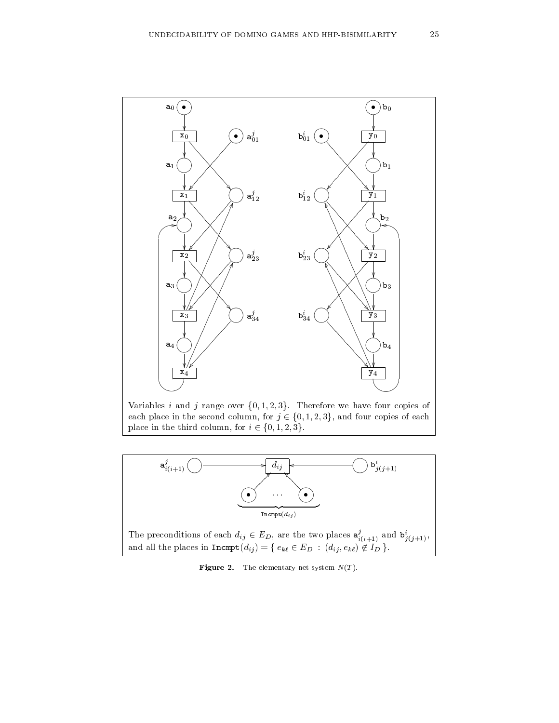

Variables i and j range over  $\{0, 1, 2, 3\}$ . Therefore we have four copies of  $\epsilon$  each place in the second column, for  $i \in \{0, 1, 2, 3\}$ , and four copies of each each place in the second column, for  $j \in \{0, 1, 2, 3\}$ , and four copies of each place in the third column, for  $i \in \{0, 1, 2, 3\}.$ 



The preconditions of each  $d_{ij} \in E_D$ , are the two places  $a_{i(i+1)}^2$  and  $b_{i(i+1)}^k$ , and all the places in  $\mathtt{Incmpt}(d_{ij}) = \{\, e_{k\ell} \in E_D \,:\, (d_{ij}, e_{k\ell}) \not\in I_D \,\}.$ 

Figure 2. The elementary net system N(T ).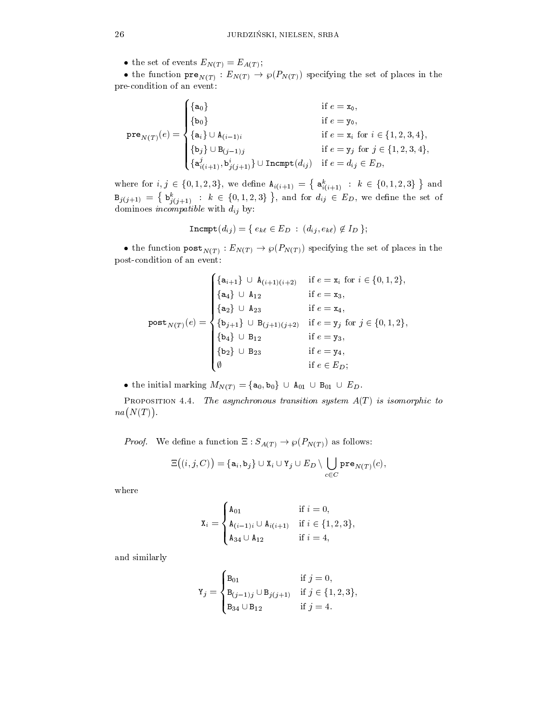• the set of events  $E_{N(T)} = E_{A(T)}$ ;

• the function  $pre_{N(T)}: E_{N(T)} \to \wp(F_{N(T)})$  specifying the set of places in the pre-condition of an event:

$$
\text{pre}_{N(T)}(e) = \begin{cases} \{a_0\} & \text{if } e = x_0, \\ \{b_0\} & \text{if } e = y_0, \\ \{a_i\} \cup A_{(i-1)i} & \text{if } e = x_i \text{ for } i \in \{1, 2, 3, 4\}, \\ \{b_j\} \cup B_{(j-1)j} & \text{if } e = y_j \text{ for } j \in \{1, 2, 3, 4\}, \\ \{a_{i(i+1)}^j, b_{j(j+1)}^i\} \cup \text{Incmpt}(d_{ij}) & \text{if } e = d_{ij} \in E_D, \end{cases}
$$

where for  $i, j \in \{0, 1, 2, 3\}$ , we define  $A_{i(i+1)} = \{a_{i(i+1)}^k : k \in \{0, 1, 2, 3\}\}\$  and  $B$ j), i  $a$ j $a+1$  = l  $j$   $j$  $\{b_{j(j+1)}^k : k \in \{0,1,2,3\} \}\,$ , and for  $d_{ij} \in E_D$ , we define the set of dominoes incompatible with dij by:

$$
\mathtt{Incmpt}(d_{ij}) = \{ e_{k\ell} \in E_D \,:\, (d_{ij}, e_{k\ell}) \not\in I_D \,\};
$$

• the function  ${\tt post}_{N(T)} : E_{N(T)} \to \wp(F_{N(T)})$  specifying the set of places in the post-condition of an event:

$$
\text{post}_{N(T)}(e) = \begin{cases} \{a_{i+1}\} \cup A_{(i+1)(i+2)} & \text{if } e = x_i \text{ for } i \in \{0, 1, 2\}, \\ \{a_4\} \cup A_{12} & \text{if } e = x_3, \\ \{a_2\} \cup A_{23} & \text{if } e = x_4, \\ \{b_{j+1}\} \cup B_{(j+1)(j+2)} & \text{if } e = y_j \text{ for } j \in \{0, 1, 2\}, \\ \{b_4\} \cup B_{12} & \text{if } e = y_3, \\ \{b_2\} \cup B_{23} & \text{if } e = y_4, \\ \emptyset & \text{if } e \in E_D; \end{cases}
$$

 $\begin{aligned} \mathbf{v} &\text{if } e \in E_D; \ \bullet \text{ the initial marking } M_{N(T)} = \{ \mathbf{a}_0, \mathbf{b}_0 \} \, \cup \, \mathbf{a}_{01} \, \cup \, \mathbf{B}_{01} \, \cup \, E_D. \end{aligned}$ 

PROPOSITION 4.4. The asynchronous transition system  $A(T)$  is isomorphic to  $na(N(T))$ .

*Proof.* We define a function  $\Xi : S_{A(T)} \to \wp(P_{N(T)})$  as follows:

$$
\Xi\big((i,j,C)\big)=\{\mathtt{a}_i,\mathtt{b}_j\}\cup \mathtt{X}_i\cup \mathtt{Y}_j\cup E_D\setminus \bigcup_{c\in C}\mathtt{pre}_{N(T)}(c),
$$

where

$$
\mathbf{X}_{i} = \begin{cases} \mathbf{A}_{01} & \text{if } i = 0, \\ \mathbf{A}_{(i-1)i} \cup \mathbf{A}_{i(i+1)} & \text{if } i \in \{1, 2, 3\}, \\ \mathbf{A}_{34} \cup \mathbf{A}_{12} & \text{if } i = 4, \end{cases}
$$

and similarly

$$
\mathbf{Y}_{j} = \begin{cases} \mathbf{B}_{01} & \text{if } j = 0, \\ \mathbf{B}_{(j-1)j} \cup \mathbf{B}_{j(j+1)} & \text{if } j \in \{1, 2, 3\}, \\ \mathbf{B}_{34} \cup \mathbf{B}_{12} & \text{if } j = 4. \end{cases}
$$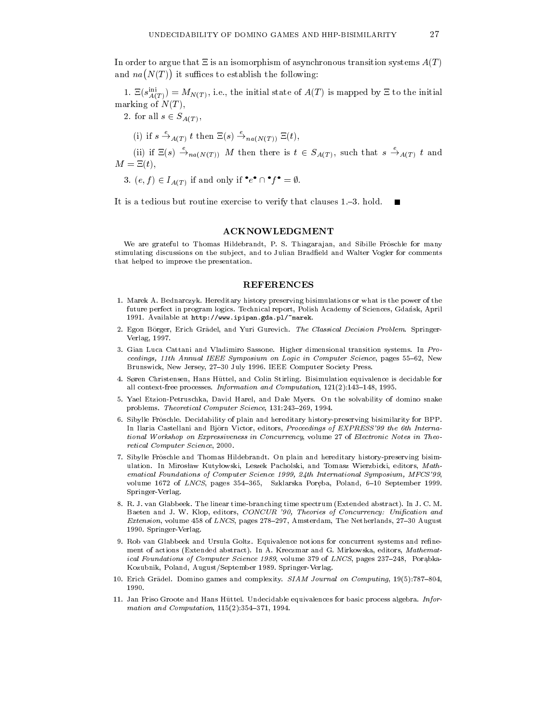In order to argue that  $\Xi$  is an isomorphism of asynchronous transition systems  $A(T)$ and  $na(N(T))$  it suffices to establish the following:

1.  $\Xi(s_{A(T)}) = M_{N(T)}$ , i.e., the initial state of  $A(T)$  is mapped by  $\Xi$  to the initial marking of  $N(T)$ ,

2. for all  $s \in S_{A(T)}$ ,

(i) if 
$$
s \stackrel{e}{\rightarrow}_{A(T)} t
$$
 then  $\Xi(s) \stackrel{e}{\rightarrow}_{na(N(T))} \Xi(t)$ ,

(ii) if  $\Xi(s) \to_{na(N(T))} M$  then there is  $t \in S_{A(T)}$ , such that  $s \to_{A(T)} t$  and  $M = \Xi(t),$ 

3. 
$$
(e, f) \in I_{A(T)}
$$
 if and only if  $\bullet e^{\bullet} \cap \bullet f^{\bullet} = \emptyset$ .

It is a tedious but routine exercise to verify that clauses 1.<sup>{3}</sup>. hold.

## ACKNOWLEDGMENT

We are grateful to Thomas Hildebrandt, P. S. Thiagarajan, and Sibille Fröschle for many stimulating discussions on the subject, and to Julian Bradfield and Walter Vogler for comments that helped to improve the presentation.

#### REFERENCES

- 1. Marek A. Bednarczyk. Hereditary history preserving bisimulations or what is the power of the future perfect in program logics. Technical report, Polish Academy of Sciences, Gdansk, April 1991. Available at http://www.ipipan.gda.pl/~marek.
- 2. Egon Börger, Erich Grädel, and Yuri Gurevich. The Classical Decision Problem. Springer-Verlag, 1997.
- 3. Gian Luca Cattani and Vladimiro Sassone. Higher dimensional transition systems. In Pro ceedings, 11th Annual IEEE Symposium on Logic in Computer Science, pages 55-62, New Brunswick, New Jersey, 27-30 July 1996. IEEE Computer Society Press.
- 4. Søren Christensen, Hans Hüttel, and Colin Stirling. Bisimulation equivalence is decidable for all context-free processes. Information and Computation,  $121(2):143{-}148$ , 1995.
- 5. Yael Etzion-Petruschka, David Harel, and Dale Myers. On the solvability of domino snake problems. Theoretical Computer Science, 131:243-269, 1994.
- 6. Sibylle Froschle. Decidability of plain and hereditary history-preserving bisimilarity for BPP. In Ilaria Castellani and Björn Victor, editors, Proceedings of EXPRESS'99 the 6th International Workshop on Expressiveness in Concurrency, volume 27 of Electronic Notes in Theo retical Computer Science, 2000.
- 7. Sibylle Froschle and Thomas Hildebrandt. On plain and hereditary history-preserving bisimulation. In Mirosław Kutyłowski, Leszek Pacholski, and Tomasz Wierzbicki, editors, Mathematical Foundations of Computer Science 1999, 24th International Symposium, MFCS'99, volume 1672 of *LNCS*, pages 354–365, Szklarska Poręba, Poland, 6–10 September 1999.<br>Springer-Verlag. Springer-Verlag.
- 8. R. J. van Glabbeek. The linear time-branching time spectrum (Extended abstract). In J. C. M. Baeten and J. W. Klop, editors, CONCUR '90, Theories of Concurrency: Unification and Extension, volume 458 of LNCS, pages  $278{-}297$ , Amsterdam, The Netherlands,  $27{-}30$  August 1990. Springer-Verlag. 1990. Springer-Verlag.
- 9. Rob van Glabbeek and Ursula Goltz. Equivalence notions for concurrent systems and rene ment of actions (Extended abstract). In A. Kreczmar and G. Mirkowska, editors, Mathematical Foundations of Computer Science 1989, volume 379 of LNCS, pages  $237{-}248$ , Porabka-Kozubnik, Poland, August/September 1989. Springer-Verlag.
- 10. Erich Grädel. Domino games and complexity. SIAM Journal on Computing, 19(5):787-804,
- 11. Jan Friso Groote and Hans Hüttel. Undecidable equivalences for basic process algebra. Information and Computation,  $115(2):354-371$ , 1994.